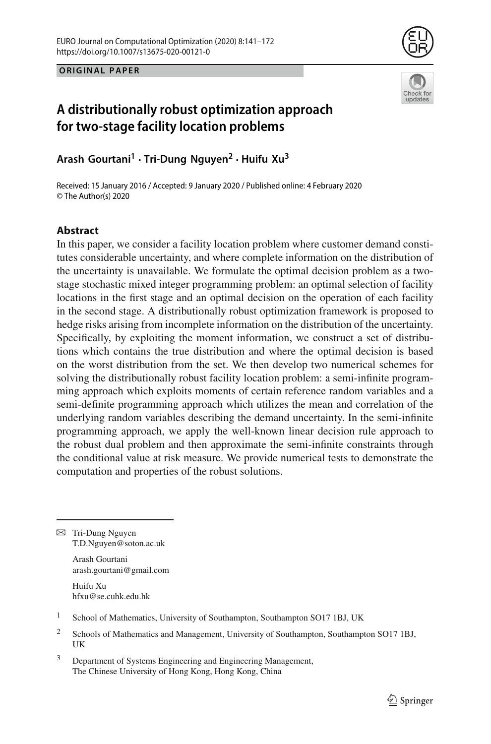**ORIGINAL PAPER ORIGINAL PAPER**





# **A distributionally robust optimization approach for two-stage facility location problems**

**Arash Gourtani1 · Tri-Dung Nguyen2 · Huifu Xu3**

Received: 15 January 2016 / Accepted: 9 January 2020 / Published online: 4 February 2020 © The Author(s) 2020

# **Abstract**

In this paper, we consider a facility location problem where customer demand constitutes considerable uncertainty, and where complete information on the distribution of the uncertainty is unavailable. We formulate the optimal decision problem as a twostage stochastic mixed integer programming problem: an optimal selection of facility locations in the first stage and an optimal decision on the operation of each facility in the second stage. A distributionally robust optimization framework is proposed to hedge risks arising from incomplete information on the distribution of the uncertainty. Specifically, by exploiting the moment information, we construct a set of distributions which contains the true distribution and where the optimal decision is based on the worst distribution from the set. We then develop two numerical schemes for solving the distributionally robust facility location problem: a semi-infinite programming approach which exploits moments of certain reference random variables and a semi-definite programming approach which utilizes the mean and correlation of the underlying random variables describing the demand uncertainty. In the semi-infinite programming approach, we apply the well-known linear decision rule approach to the robust dual problem and then approximate the semi-infinite constraints through the conditional value at risk measure. We provide numerical tests to demonstrate the computation and properties of the robust solutions.

 $\boxtimes$  Tri-Dung Nguyen T.D.Nguyen@soton.ac.uk

> Arash Gourtani arash.gourtani@gmail.com

Huifu Xu hfxu@se.cuhk.edu.hk

<sup>1</sup> School of Mathematics, University of Southampton, Southampton SO17 1BJ, UK

- <sup>2</sup> Schools of Mathematics and Management, University of Southampton, Southampton SO17 1BJ, UK
- <sup>3</sup> Department of Systems Engineering and Engineering Management, The Chinese University of Hong Kong, Hong Kong, China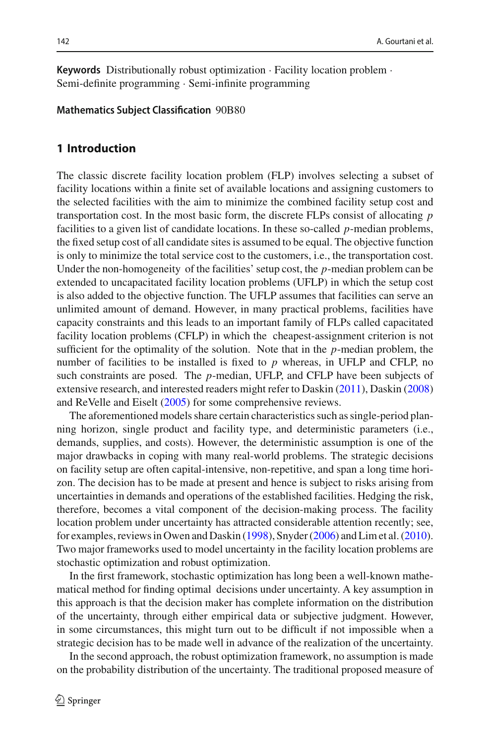**Keywords** Distributionally robust optimization · Facility location problem · Semi-definite programming · Semi-infinite programming

#### **Mathematics Subject Classification** 90B80

# **1 Introduction**

The classic discrete facility location problem (FLP) involves selecting a subset of facility locations within a finite set of available locations and assigning customers to the selected facilities with the aim to minimize the combined facility setup cost and transportation cost. In the most basic form, the discrete FLPs consist of allocating *p* facilities to a given list of candidate locations. In these so-called *p*-median problems, the fixed setup cost of all candidate sites is assumed to be equal. The objective function is only to minimize the total service cost to the customers, i.e., the transportation cost. Under the non-homogeneity of the facilities' setup cost, the *p*-median problem can be extended to uncapacitated facility location problems (UFLP) in which the setup cost is also added to the objective function. The UFLP assumes that facilities can serve an unlimited amount of demand. However, in many practical problems, facilities have capacity constraints and this leads to an important family of FLPs called capacitated facility location problems (CFLP) in which the cheapest-assignment criterion is not sufficient for the optimality of the solution. Note that in the *p*-median problem, the number of facilities to be installed is fixed to *p* whereas, in UFLP and CFLP, no such constraints are posed. The *p*-median, UFLP, and CFLP have been subjects of extensive research, and interested readers might refer to Daski[n](#page-30-0) [\(2011\)](#page-30-0), Daski[n](#page-30-1) [\(2008\)](#page-30-1) and ReVelle and Eisel[t](#page-30-2) [\(2005\)](#page-30-2) for some comprehensive reviews.

The aforementioned models share certain characteristics such as single-period planning horizon, single product and facility type, and deterministic parameters (i.e., demands, supplies, and costs). However, the deterministic assumption is one of the major drawbacks in coping with many real-world problems. The strategic decisions on facility setup are often capital-intensive, non-repetitive, and span a long time horizon. The decision has to be made at present and hence is subject to risks arising from uncertainties in demands and operations of the established facilities. Hedging the risk, therefore, becomes a vital component of the decision-making process. The facility location problem under uncertainty has attracted considerable attention recently; see, for examples, reviews in Owen and Daski[n](#page-30-3) [\(1998](#page-30-3)), Snyde[r](#page-31-0) [\(2006](#page-31-0)) and Lim et al[.](#page-30-4) [\(2010](#page-30-4)). Two major frameworks used to model uncertainty in the facility location problems are stochastic optimization and robust optimization.

In the first framework, stochastic optimization has long been a well-known mathematical method for finding optimal decisions under uncertainty. A key assumption in this approach is that the decision maker has complete information on the distribution of the uncertainty, through either empirical data or subjective judgment. However, in some circumstances, this might turn out to be difficult if not impossible when a strategic decision has to be made well in advance of the realization of the uncertainty.

In the second approach, the robust optimization framework, no assumption is made on the probability distribution of the uncertainty. The traditional proposed measure of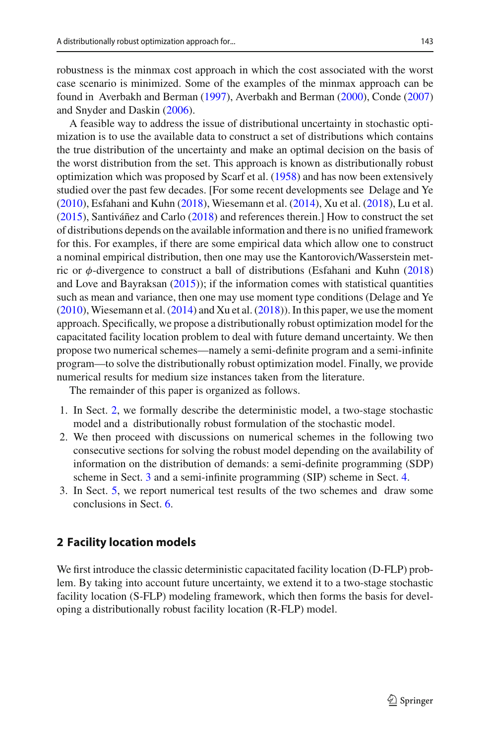robustness is the minmax cost approach in which the cost associated with the worst case scenario is minimized. Some of the examples of the minmax approach can be found in Averbakh and Berma[n](#page-29-0) [\(1997\)](#page-29-0), Averbakh and Berma[n](#page-29-1) [\(2000](#page-29-1)), Cond[e](#page-30-5) [\(2007\)](#page-30-5) and Snyder and Daski[n](#page-31-1) [\(2006](#page-31-1)).

A feasible way to address the issue of distributional uncertainty in stochastic optimization is to use the available data to construct a set of distributions which contains the true distribution of the uncertainty and make an optimal decision on the basis of the worst distribution from the set. This approach is known as distributionally robust optimization which was proposed by Scarf et al[.](#page-30-6) [\(1958\)](#page-30-6) and has now been extensively studied over the past few decades. [For some recent developments see Delage and Y[e](#page-30-7) [\(2010\)](#page-30-7), Esfahani and Kuh[n](#page-30-8) [\(2018](#page-30-8)), Wiesemann et al[.](#page-31-2) [\(2014](#page-31-2)), Xu et al[.](#page-31-3) [\(2018](#page-31-3)), Lu et al[.](#page-30-9) [\(2015\)](#page-30-9), Santiváñez and Carl[o](#page-30-10) [\(2018\)](#page-30-10) and references therein.] How to construct the set of distributions depends on the available information and there is no unified framework for this. For examples, if there are some empirical data which allow one to construct a nominal empirical distribution, then one may use the Kantorovich/Wasserstein metric or  $\phi$ -diverge[n](#page-30-8)ce to construct a ball of distributions (Esfahani and Kuhn [\(2018\)](#page-30-8) and Love and Bayraksa[n](#page-30-11) [\(2015](#page-30-11))); if the information comes with statistical quantities such as mean and variance, then one may use moment type conditions (Delage and Y[e](#page-30-7)  $(2010)$ , Wiesemann et al[.](#page-31-3)  $(2014)$  and Xu et al.  $(2018)$ ). In this paper, we use the moment approach. Specifically, we propose a distributionally robust optimization model for the capacitated facility location problem to deal with future demand uncertainty. We then propose two numerical schemes—namely a semi-definite program and a semi-infinite program—to solve the distributionally robust optimization model. Finally, we provide numerical results for medium size instances taken from the literature.

The remainder of this paper is organized as follows.

- 1. In Sect. [2,](#page-2-0) we formally describe the deterministic model, a two-stage stochastic model and a distributionally robust formulation of the stochastic model.
- 2. We then proceed with discussions on numerical schemes in the following two consecutive sections for solving the robust model depending on the availability of information on the distribution of demands: a semi-definite programming (SDP) scheme in Sect. [3](#page-6-0) and a semi-infinite programming (SIP) scheme in Sect. [4.](#page-13-0)
- 3. In Sect. [5,](#page-19-0) we report numerical test results of the two schemes and draw some conclusions in Sect. [6.](#page-29-2)

# <span id="page-2-0"></span>**2 Facility location models**

We first introduce the classic deterministic capacitated facility location (D-FLP) problem. By taking into account future uncertainty, we extend it to a two-stage stochastic facility location (S-FLP) modeling framework, which then forms the basis for developing a distributionally robust facility location (R-FLP) model.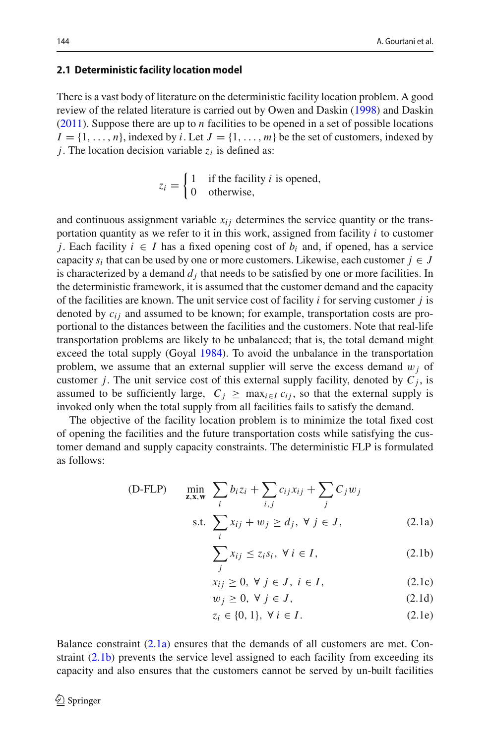#### <span id="page-3-1"></span>**2.1 Deterministic facility location model**

There is a vast body of literature on the deterministic facility location problem. A good review of the related literature is carried out by Owen and Daski[n](#page-30-3) [\(1998](#page-30-3)) and Daski[n](#page-30-0) [\(2011\)](#page-30-0). Suppose there are up to *n* facilities to be opened in a set of possible locations  $I = \{1, \ldots, n\}$ , indexed by *i*. Let  $J = \{1, \ldots, m\}$  be the set of customers, indexed by *j*. The location decision variable  $z_i$  is defined as:

$$
z_i = \begin{cases} 1 & \text{if the facility } i \text{ is opened,} \\ 0 & \text{otherwise,} \end{cases}
$$

and continuous assignment variable  $x_{ij}$  determines the service quantity or the transportation quantity as we refer to it in this work, assigned from facility *i* to customer *j*. Each facility  $i \in I$  has a fixed opening cost of  $b_i$  and, if opened, has a service capacity  $s_i$  that can be used by one or more customers. Likewise, each customer  $j \in J$ is characterized by a demand  $d_i$  that needs to be satisfied by one or more facilities. In the deterministic framework, it is assumed that the customer demand and the capacity of the facilities are known. The unit service cost of facility *i* for serving customer *j* is denoted by *ci j* and assumed to be known; for example, transportation costs are proportional to the distances between the facilities and the customers. Note that real-life transportation problems are likely to be unbalanced; that is, the total demand might exceed the total supply (Goya[l](#page-30-12) [1984\)](#page-30-12). To avoid the unbalance in the transportation problem, we assume that an external supplier will serve the excess demand  $w_j$  of customer *j*. The unit service cost of this external supply facility, denoted by  $C_i$ , is assumed to be sufficiently large,  $C_i \geq \max_{i \in I} c_{ij}$ , so that the external supply is invoked only when the total supply from all facilities fails to satisfy the demand.

The objective of the facility location problem is to minimize the total fixed cost of opening the facilities and the future transportation costs while satisfying the customer demand and supply capacity constraints. The deterministic FLP is formulated as follows:

<span id="page-3-0"></span>(D-FLP) 
$$
\min_{\mathbf{z}, \mathbf{x}, \mathbf{w}} \sum_{i} b_i z_i + \sum_{i,j} c_{ij} x_{ij} + \sum_{j} C_j w_j
$$
  
s.t. 
$$
\sum_{i} x_{ij} + w_j \ge d_j, \forall j \in J,
$$
 (2.1a)

$$
\sum_{j} x_{ij} \le z_i s_i, \ \forall \ i \in I,
$$
\n(2.1b)

$$
x_{ij} \ge 0, \ \forall \ j \in J, \ i \in I,
$$
\n
$$
(2.1c)
$$

$$
w_j \ge 0, \ \forall \ j \in J,
$$
\n
$$
(2.1d)
$$

$$
z_i \in \{0, 1\}, \ \forall \ i \in I. \tag{2.1e}
$$

Balance constraint  $(2.1a)$  ensures that the demands of all customers are met. Constraint [\(2.1b\)](#page-3-0) prevents the service level assigned to each facility from exceeding its capacity and also ensures that the customers cannot be served by un-built facilities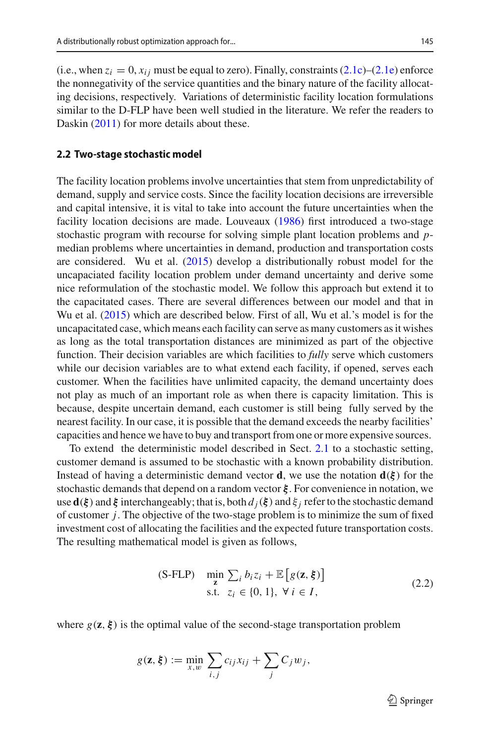(i.e., when  $z_i = 0$ ,  $x_i$  must be equal to zero). Finally, constraints [\(2.1c\)](#page-3-0)–[\(2.1e\)](#page-3-0) enforce the nonnegativity of the service quantities and the binary nature of the facility allocating decisions, respectively. Variations of deterministic facility location formulations similar to the D-FLP have been well studied in the literature. We refer the readers to Daski[n](#page-30-0) [\(2011\)](#page-30-0) for more details about these.

#### **2.2 Two-stage stochastic model**

The facility location problems involve uncertainties that stem from unpredictability of demand, supply and service costs. Since the facility location decisions are irreversible and capital intensive, it is vital to take into account the future uncertainties when the facility location decisions are made. Louveau[x](#page-30-13) [\(1986](#page-30-13)) first introduced a two-stage stochastic program with recourse for solving simple plant location problems and *p*median problems where uncertainties in demand, production and transportation costs are considered. Wu et al[.](#page-31-4) [\(2015\)](#page-31-4) develop a distributionally robust model for the uncapaciated facility location problem under demand uncertainty and derive some nice reformulation of the stochastic model. We follow this approach but extend it to the capacitated cases. There are several differences between our model and that in Wu et al[.](#page-31-4) [\(2015](#page-31-4)) which are described below. First of all, Wu et al.'s model is for the uncapacitated case, which means each facility can serve as many customers as it wishes as long as the total transportation distances are minimized as part of the objective function. Their decision variables are which facilities to *fully* serve which customers while our decision variables are to what extend each facility, if opened, serves each customer. When the facilities have unlimited capacity, the demand uncertainty does not play as much of an important role as when there is capacity limitation. This is because, despite uncertain demand, each customer is still being fully served by the nearest facility. In our case, it is possible that the demand exceeds the nearby facilities' capacities and hence we have to buy and transport from one or more expensive sources.

To extend the deterministic model described in Sect. [2.1](#page-3-1) to a stochastic setting, customer demand is assumed to be stochastic with a known probability distribution. Instead of having a deterministic demand vector **d**, we use the notation  $\mathbf{d}(\xi)$  for the stochastic demands that depend on a random vector *ξ* . For convenience in notation, we use  $d(\xi)$  and  $\xi$  interchangeably; that is, both  $d_i(\xi)$  and  $\xi_i$  refer to the stochastic demand of customer *j*. The objective of the two-stage problem is to minimize the sum of fixed investment cost of allocating the facilities and the expected future transportation costs. The resulting mathematical model is given as follows,

<span id="page-4-2"></span><span id="page-4-0"></span>(S-FLP) 
$$
\min_{\mathbf{z}} \sum_{i} b_{i} z_{i} + \mathbb{E} [g(\mathbf{z}, \boldsymbol{\xi})]
$$
  
s.t.  $z_{i} \in \{0, 1\}, \forall i \in I,$  (2.2)

where  $g(\mathbf{z}, \boldsymbol{\xi})$  is the optimal value of the second-stage transportation problem

<span id="page-4-1"></span>
$$
g(\mathbf{z},\boldsymbol{\xi}) := \min_{x,w} \sum_{i,j} c_{ij} x_{ij} + \sum_j C_j w_j,
$$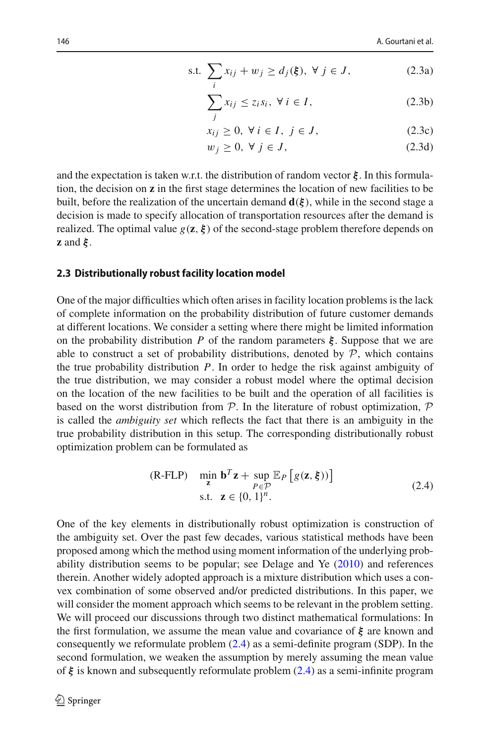$$
\text{s.t. } \sum_{i} x_{ij} + w_j \ge d_j(\xi), \ \forall \ j \in J,
$$
\n
$$
(2.3a)
$$

$$
\sum_{j} x_{ij} \le z_i s_i, \ \forall \ i \in I,
$$
\n(2.3b)

$$
x_{ij} \ge 0, \ \forall \ i \in I, \ j \in J,
$$
\n
$$
(2.3c)
$$

$$
w_j \ge 0, \ \forall \ j \in J,\tag{2.3d}
$$

and the expectation is taken w.r.t. the distribution of random vector *ξ* . In this formulation, the decision on **z** in the first stage determines the location of new facilities to be built, before the realization of the uncertain demand  $\mathbf{d}(\boldsymbol{\xi})$ , while in the second stage a decision is made to specify allocation of transportation resources after the demand is realized. The optimal value  $g(\mathbf{z}, \boldsymbol{\xi})$  of the second-stage problem therefore depends on **z** and *ξ* .

#### **2.3 Distributionally robust facility location model**

One of the major difficulties which often arises in facility location problems is the lack of complete information on the probability distribution of future customer demands at different locations. We consider a setting where there might be limited information on the probability distribution *P* of the random parameters *ξ* . Suppose that we are able to construct a set of probability distributions, denoted by  $P$ , which contains the true probability distribution *P*. In order to hedge the risk against ambiguity of the true distribution, we may consider a robust model where the optimal decision on the location of the new facilities to be built and the operation of all facilities is based on the worst distribution from *P*. In the literature of robust optimization, *P* is called the *ambiguity set* which reflects the fact that there is an ambiguity in the true probability distribution in this setup. The corresponding distributionally robust optimization problem can be formulated as

<span id="page-5-0"></span>
$$
\begin{array}{ll}\n\text{(R-FLP)} & \min \mathbf{b}^T \mathbf{z} + \sup_{P \in \mathcal{P}} \mathbb{E}_P \left[ g(\mathbf{z}, \boldsymbol{\xi}) \right) \\
& \text{s.t.} \quad \mathbf{z} \in \{0, 1\}^n.\n\end{array} \tag{2.4}
$$

One of the key elements in distributionally robust optimization is construction of the ambiguity set. Over the past few decades, various statistical methods have been proposed among which the method using moment information of the underlying probability distribution s[e](#page-30-7)ems to be popular; see Delage and Ye  $(2010)$  $(2010)$  and references therein. Another widely adopted approach is a mixture distribution which uses a convex combination of some observed and/or predicted distributions. In this paper, we will consider the moment approach which seems to be relevant in the problem setting. We will proceed our discussions through two distinct mathematical formulations: In the first formulation, we assume the mean value and covariance of *ξ* are known and consequently we reformulate problem [\(2.4\)](#page-5-0) as a semi-definite program (SDP). In the second formulation, we weaken the assumption by merely assuming the mean value of *ξ* is known and subsequently reformulate problem [\(2.4\)](#page-5-0) as a semi-infinite program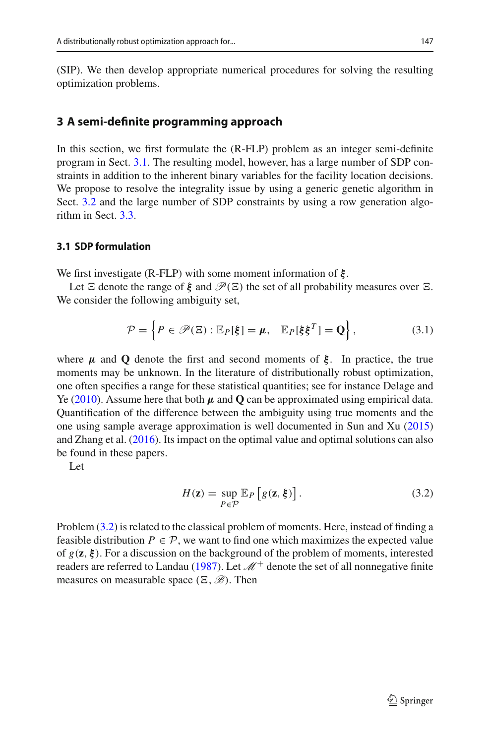(SIP). We then develop appropriate numerical procedures for solving the resulting optimization problems.

# <span id="page-6-0"></span>**3 A semi-definite programming approach**

In this section, we first formulate the (R-FLP) problem as an integer semi-definite program in Sect. [3.1.](#page-6-1) The resulting model, however, has a large number of SDP constraints in addition to the inherent binary variables for the facility location decisions. We propose to resolve the integrality issue by using a generic genetic algorithm in Sect. [3.2](#page-12-0) and the large number of SDP constraints by using a row generation algorithm in Sect. [3.3.](#page-12-1)

### <span id="page-6-1"></span>**3.1 SDP formulation**

We first investigate (R-FLP) with some moment information of *ξ* .

Let  $\Xi$  denote the range of  $\xi$  and  $\mathscr{P}(\Xi)$  the set of all probability measures over  $\Xi$ . We consider the following ambiguity set,

<span id="page-6-3"></span>
$$
\mathcal{P} = \left\{ P \in \mathcal{P}(\Xi) : \mathbb{E}_P[\xi] = \mu, \quad \mathbb{E}_P[\xi \xi^T] = \mathbf{Q} \right\},\tag{3.1}
$$

where  $\mu$  and **Q** denote the first and second moments of  $\xi$ . In practice, the true moments may be unknown. In the literature of distributionally robust optimization, one often specifies a range for these statistical quantities; see for instance Delage and Y[e](#page-30-7) [\(2010\)](#page-30-7). Assume here that both  $\mu$  and **Q** can be approximated using empirical data. Quantification of the difference between the ambiguity using true moments and the one using sample average approximation is well documented in Sun and X[u](#page-31-5) [\(2015\)](#page-31-5) and Zhang et al[.](#page-31-6) [\(2016\)](#page-31-6). Its impact on the optimal value and optimal solutions can also be found in these papers.

Let

<span id="page-6-2"></span>
$$
H(\mathbf{z}) = \sup_{P \in \mathcal{P}} \mathbb{E}_P \left[ g(\mathbf{z}, \boldsymbol{\xi}) \right]. \tag{3.2}
$$

Problem [\(3.2\)](#page-6-2) is related to the classical problem of moments. Here, instead of finding a feasible distribution  $P \in \mathcal{P}$ , we want to find one which maximizes the expected value of *g*(**z**, *ξ* ). For a discussion on the background of the problem of moments, interested readers are referred to Landa[u](#page-30-14) [\(1987\)](#page-30-14). Let  $\mathcal{M}^+$  denote the set of all nonnegative finite measures on measurable space  $(E, \mathcal{B})$ . Then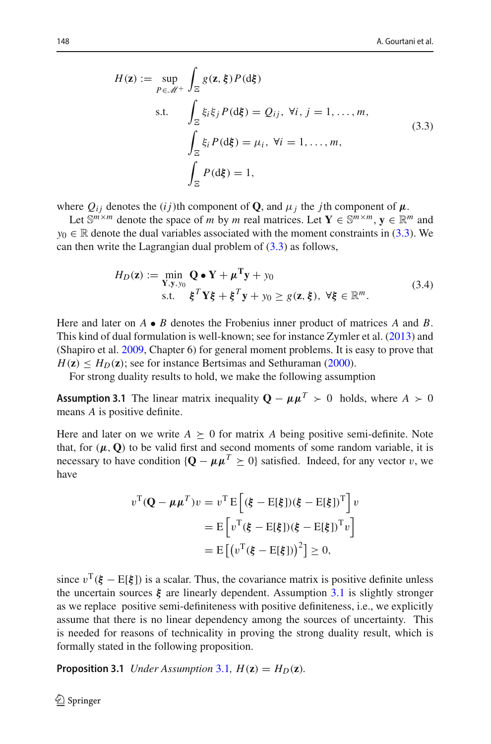<span id="page-7-0"></span>
$$
H(\mathbf{z}) := \sup_{P \in \mathcal{M}^+} \int_{\Xi} g(\mathbf{z}, \xi) P(\mathrm{d}\xi)
$$
  
s.t. 
$$
\int_{\Xi} \xi_i \xi_j P(\mathrm{d}\xi) = Q_{ij}, \forall i, j = 1, ..., m,
$$

$$
\int_{\Xi} \xi_i P(\mathrm{d}\xi) = \mu_i, \forall i = 1, ..., m,
$$

$$
\int_{\Xi} P(\mathrm{d}\xi) = 1,
$$
 (3.3)

where  $Q_{ij}$  denotes the  $(ij)$ th component of **Q**, and  $\mu_j$  the *j*th component of  $\mu$ .

Let  $\mathbb{S}^{m \times m}$  denote the space of *m* by *m* real matrices. Let  $\mathbf{Y} \in \mathbb{S}^{m \times m}$ ,  $\mathbf{v} \in \mathbb{R}^m$  and  $y_0 \in \mathbb{R}$  denote the dual variables associated with the moment constraints in [\(3.3\)](#page-7-0). We can then write the Lagrangian dual problem of  $(3.3)$  as follows,

<span id="page-7-3"></span><span id="page-7-1"></span>
$$
H_D(\mathbf{z}) := \min_{\mathbf{Y}, \mathbf{y}, \mathbf{y}_0} \mathbf{Q} \bullet \mathbf{Y} + \boldsymbol{\mu}^{\mathrm{T}} \mathbf{y} + \mathbf{y}_0
$$
  
s.t. 
$$
\boldsymbol{\xi}^T \mathbf{Y} \boldsymbol{\xi} + \boldsymbol{\xi}^T \mathbf{y} + \mathbf{y}_0 \ge g(\mathbf{z}, \boldsymbol{\xi}), \ \forall \boldsymbol{\xi} \in \mathbb{R}^m.
$$
 (3.4)

Here and later on *A* • *B* denotes the Frobenius inner product of matrices *A* and *B*. This kind of dual formulation is well-known; see for instance Zymler et al[.](#page-31-7) [\(2013](#page-31-7)) and (Shapiro et al[.](#page-31-8) [2009,](#page-31-8) Chapter 6) for general moment problems. It is easy to prove that  $H(z) \leq H_D(z)$ ; see for i[n](#page-30-15)stance Bertsimas and Sethuraman [\(2000](#page-30-15)).

For strong duality results to hold, we make the following assumption

**Assumption 3.1** The linear matrix inequality  $Q - \mu \mu^T > 0$  holds, where  $A > 0$ means *A* is positive definite.

Here and later on we write  $A \succeq 0$  for matrix A being positive semi-definite. Note that, for  $(\mu, 0)$  to be valid first and second moments of some random variable, it is necessary to have condition  ${Q - \mu\mu^T \ge 0}$  satisfied. Indeed, for any vector v, we have

<span id="page-7-2"></span>
$$
v^{\mathrm{T}}(\mathbf{Q} - \boldsymbol{\mu}\boldsymbol{\mu}^{T})v = v^{\mathrm{T}}\mathrm{E}\left[ (\boldsymbol{\xi} - \mathrm{E}[\boldsymbol{\xi}]) (\boldsymbol{\xi} - \mathrm{E}[\boldsymbol{\xi}])^{\mathrm{T}} \right]v
$$

$$
= \mathrm{E}\left[ v^{\mathrm{T}}(\boldsymbol{\xi} - \mathrm{E}[\boldsymbol{\xi}]) (\boldsymbol{\xi} - \mathrm{E}[\boldsymbol{\xi}])^{\mathrm{T}} v \right]
$$

$$
= \mathrm{E}\left[ (v^{\mathrm{T}}(\boldsymbol{\xi} - \mathrm{E}[\boldsymbol{\xi}]))^{2} \right] \geq 0,
$$

since  $v^T(\xi - E[\xi])$  is a scalar. Thus, the covariance matrix is positive definite unless the uncertain sources *ξ* are linearly dependent. Assumption [3.1](#page-7-1) is slightly stronger as we replace positive semi-definiteness with positive definiteness, i.e., we explicitly assume that there is no linear dependency among the sources of uncertainty. This is needed for reasons of technicality in proving the strong duality result, which is formally stated in the following proposition.

**Proposition [3.1](#page-7-1)** *Under Assumption* 3.1,  $H(z) = H_D(z)$ *.*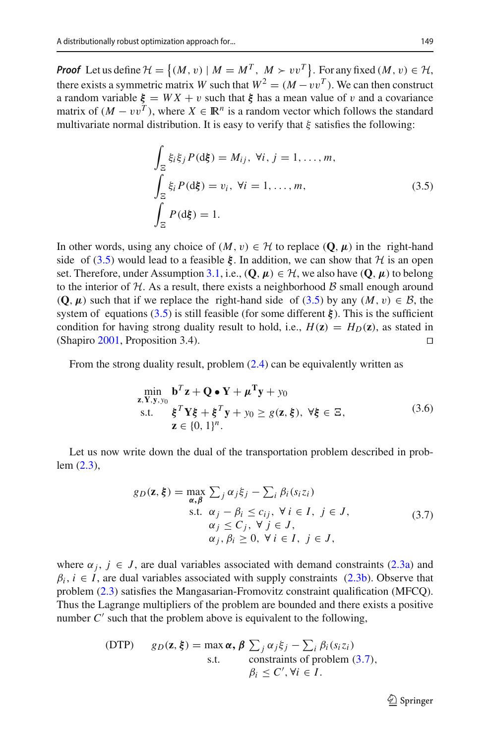*Proof* Let us define  $\mathcal{H} = \{(M, v) \mid M = M^T, M \succ v v^T\}$ . For any fixed  $(M, v) \in \mathcal{H}$ , there exists a symmetric matrix *W* such that  $W^2 = (M - vv^T)$ . We can then construct a random variable  $\boldsymbol{\xi} = W X + v$  such that  $\boldsymbol{\xi}$  has a mean value of v and a covariance matrix of  $(M - vv<sup>T</sup>)$ , where  $X \in \mathbb{R}^n$  is a random vector which follows the standard multivariate normal distribution. It is easy to verify that  $\xi$  satisfies the following:

<span id="page-8-0"></span>
$$
\int_{\Xi} \xi_i \xi_j P(\mathrm{d}\xi) = M_{ij}, \ \forall i, j = 1, \dots, m,
$$
\n
$$
\int_{\Xi} \xi_i P(\mathrm{d}\xi) = v_i, \ \forall i = 1, \dots, m,
$$
\n
$$
\int_{\Xi} P(\mathrm{d}\xi) = 1.
$$
\n(3.5)

In other words, using any choice of  $(M, v) \in H$  to replace  $(0, \mu)$  in the right-hand side of [\(3.5\)](#page-8-0) would lead to a feasible  $\xi$ . In addition, we can show that  $H$  is an open set. Therefore, under Assumption [3.1,](#page-7-1) i.e.,  $(\mathbf{Q}, \mu) \in \mathcal{H}$ , we also have  $(\mathbf{Q}, \mu)$  to belong to the interior of  $H$ . As a result, there exists a neighborhood  $B$  small enough around  $(\mathbf{Q}, \mu)$  such that if we replace the right-hand side of [\(3.5\)](#page-8-0) by any  $(M, v) \in \mathcal{B}$ , the system of equations [\(3.5\)](#page-8-0) is still feasible (for some different *ξ* ). This is the sufficient condition for having strong duality result to hold, i.e.,  $H(\mathbf{z}) = H_D(\mathbf{z})$ , as stated in (Shapiro 2001, Proposition 3.4). (Shapir[o](#page-30-16) [2001](#page-30-16), Proposition 3.4). 

From the strong duality result, problem [\(2.4\)](#page-5-0) can be equivalently written as

<span id="page-8-2"></span>
$$
\min_{\mathbf{z}, \mathbf{Y}, \mathbf{y}, \mathbf{y}_0} \mathbf{b}^T \mathbf{z} + \mathbf{Q} \cdot \mathbf{Y} + \boldsymbol{\mu}^T \mathbf{y} + \mathbf{y}_0
$$
\n
$$
\text{s.t.} \quad \xi^T \mathbf{Y} \xi + \xi^T \mathbf{y} + \mathbf{y}_0 \ge g(\mathbf{z}, \xi), \ \forall \xi \in \Xi,
$$
\n
$$
\mathbf{z} \in \{0, 1\}^n. \tag{3.6}
$$

Let us now write down the dual of the transportation problem described in problem [\(2.3\)](#page-4-0),

<span id="page-8-1"></span>
$$
g_D(\mathbf{z}, \boldsymbol{\xi}) = \max_{\alpha, \beta} \sum_j \alpha_j \xi_j - \sum_i \beta_i (s_i z_i)
$$
  
s.t.  $\alpha_j - \beta_i \le c_{ij}$ ,  $\forall i \in I, j \in J$ ,  
 $\alpha_j \le C_j$ ,  $\forall j \in J$ ,  
 $\alpha_j, \beta_i \ge 0$ ,  $\forall i \in I, j \in J$ ,  
 $(3.7)$ 

where  $\alpha_j$ ,  $j \in J$ , are dual variables associated with demand constraints [\(2.3a\)](#page-4-1) and  $\beta_i$ ,  $i \in I$ , are dual variables associated with supply constraints [\(2.3b\)](#page-4-1). Observe that problem [\(2.3\)](#page-4-0) satisfies the Mangasarian-Fromovitz constraint qualification (MFCQ). Thus the Lagrange multipliers of the problem are bounded and there exists a positive number  $C'$  such that the problem above is equivalent to the following,

(DTP) 
$$
g_D(\mathbf{z}, \boldsymbol{\xi}) = \max \boldsymbol{\alpha}, \boldsymbol{\beta} \sum_j \alpha_j \xi_j - \sum_i \beta_i (s_i z_i)
$$
  
s.t. constraints of problem (3.7),  
 $\beta_i \le C', \forall i \in I.$ 

 $\mathcal{D}$  Springer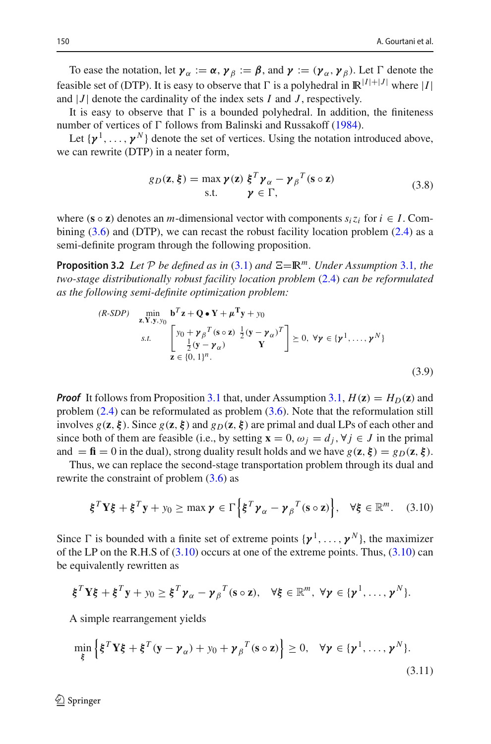To ease the notation, let  $\gamma_\alpha := \alpha$ ,  $\gamma_\beta := \beta$ , and  $\gamma := (\gamma_\alpha, \gamma_\beta)$ . Let  $\Gamma$  denote the feasible set of (DTP). It is easy to observe that  $\Gamma$  is a polyhedral in  $\mathbb{R}^{|I|+|J|}$  where  $|I|$ and  $|J|$  denote the cardinality of the index sets  $I$  and  $J$ , respectively.

It is easy to observe that  $\Gamma$  is a bounded polyhedral. In addition, the finiteness number o[f](#page-30-17) vertices of  $\Gamma$  follows from Balinski and Russakoff [\(1984](#page-30-17)).

Let  $\{y^1, \ldots, y^N\}$  denote the set of vertices. Using the notation introduced above, we can rewrite (DTP) in a neater form,

$$
g_D(\mathbf{z}, \boldsymbol{\xi}) = \max_{\mathbf{S}, \mathbf{t}} \boldsymbol{\gamma}(\mathbf{z}) \boldsymbol{\xi}^T \boldsymbol{\gamma}_{\alpha} - \boldsymbol{\gamma}_{\beta}^T (\mathbf{s} \circ \mathbf{z})
$$
  
s.t. 
$$
\boldsymbol{\gamma} \in \Gamma,
$$
 (3.8)

where (**s**  $\circ$  **z**) denotes an *m*-dimensional vector with components  $s_i z_i$  for  $i \in I$ . Combining  $(3.6)$  and  $(DTP)$ , we can recast the robust facility location problem  $(2.4)$  as a semi-definite program through the following proposition.

**Proposition 3.2** *Let*  $P$  *be defined as in* [\(3.1\)](#page-6-3) *and*  $E=R^m$ *. Under Assumption* [3.1](#page-7-1)*, the two-stage distributionally robust facility location problem* [\(2.4\)](#page-5-0) *can be reformulated as the following semi-definite optimization problem:*

<span id="page-9-2"></span>
$$
(R\text{-SDP})\quad \min_{\mathbf{z}, \mathbf{Y}, \mathbf{y}, \mathbf{y}_0} \mathbf{b}^T \mathbf{z} + \mathbf{Q} \cdot \mathbf{Y} + \boldsymbol{\mu}^T \mathbf{y} + \mathbf{y}_0
$$
\n
$$
\text{s.t.} \quad \begin{bmatrix} y_0 + \boldsymbol{\gamma} \boldsymbol{\beta}^T (\mathbf{s} \circ \mathbf{z}) & \frac{1}{2} (\mathbf{y} - \boldsymbol{\gamma} \boldsymbol{\alpha})^T \\ \frac{1}{2} (\mathbf{y} - \boldsymbol{\gamma} \boldsymbol{\alpha}) & \mathbf{Y} \end{bmatrix} \succeq 0, \ \forall \mathbf{y} \in \{\mathbf{y}^1, \dots, \mathbf{y}^N\}
$$
\n
$$
\mathbf{z} \in \{0, 1\}^n. \tag{3.9}
$$

*Proof* It follows from Proposition [3.1](#page-7-2) that, under Assumption [3.1,](#page-7-1)  $H(z) = H_D(z)$  and problem [\(2.4\)](#page-5-0) can be reformulated as problem [\(3.6\)](#page-8-2). Note that the reformulation still involves  $g(\mathbf{z}, \boldsymbol{\xi})$ . Since  $g(\mathbf{z}, \boldsymbol{\xi})$  and  $g_D(\mathbf{z}, \boldsymbol{\xi})$  are primal and dual LPs of each other and since both of them are feasible (i.e., by setting  $\mathbf{x} = 0$ ,  $\omega_j = d_j$ ,  $\forall j \in J$  in the primal and  $= \mathbf{f} \mathbf{i} = 0$  in the dual), strong duality result holds and we have  $g(\mathbf{z}, \mathbf{\hat{x}}) = g_D(\mathbf{z}, \mathbf{\hat{x}})$ .

Thus, we can replace the second-stage transportation problem through its dual and rewrite the constraint of problem [\(3.6\)](#page-8-2) as

<span id="page-9-0"></span>
$$
\boldsymbol{\xi}^T \mathbf{Y} \boldsymbol{\xi} + \boldsymbol{\xi}^T \mathbf{y} + y_0 \ge \max \boldsymbol{\gamma} \in \Gamma \Big\{ \boldsymbol{\xi}^T \boldsymbol{\gamma}_\alpha - \boldsymbol{\gamma}_\beta^T (\mathbf{s} \circ \mathbf{z}) \Big\}, \quad \forall \boldsymbol{\xi} \in \mathbb{R}^m. \quad (3.10)
$$

Since  $\Gamma$  is bounded with a finite set of extreme points  $\{ \gamma^1, \ldots, \gamma^N \}$ , the maximizer of the LP on the R.H.S of  $(3.10)$  occurs at one of the extreme points. Thus,  $(3.10)$  can be equivalently rewritten as

$$
\boldsymbol{\xi}^T \mathbf{Y} \boldsymbol{\xi} + \boldsymbol{\xi}^T \mathbf{y} + y_0 \geq \boldsymbol{\xi}^T \boldsymbol{\gamma}_{\alpha} - \boldsymbol{\gamma}_{\beta}^T (\mathbf{s} \circ \mathbf{z}), \quad \forall \boldsymbol{\xi} \in \mathbb{R}^m, \ \forall \boldsymbol{\gamma} \in \{\boldsymbol{\gamma}^1, \dots, \boldsymbol{\gamma}^N\}.
$$

A simple rearrangement yields

<span id="page-9-1"></span>
$$
\min_{\xi} \left\{ \xi^T \mathbf{Y} \xi + \xi^T (\mathbf{y} - \boldsymbol{\gamma}_{\alpha}) + y_0 + \boldsymbol{\gamma}_{\beta}^T (\mathbf{s} \circ \mathbf{z}) \right\} \ge 0, \quad \forall \mathbf{\gamma} \in \{\mathbf{\gamma}^1, \dots, \mathbf{\gamma}^N\}.
$$
\n(3.11)

 $\textcircled{2}$  Springer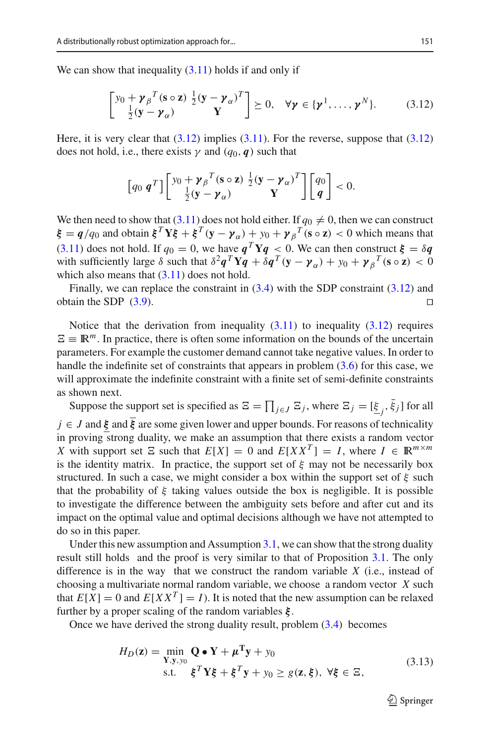We can show that inequality  $(3.11)$  holds if and only if

<span id="page-10-0"></span>
$$
\begin{bmatrix} y_0 + \boldsymbol{\gamma}_{\beta}^T (\mathbf{s} \circ \mathbf{z}) \frac{1}{2} (\mathbf{y} - \boldsymbol{\gamma}_{\alpha})^T \\ \frac{1}{2} (\mathbf{y} - \boldsymbol{\gamma}_{\alpha}) \mathbf{Y} \end{bmatrix} \succeq 0, \quad \forall \mathbf{y} \in \{\mathbf{y}^1, \dots, \mathbf{y}^N\}. \tag{3.12}
$$

Here, it is very clear that  $(3.12)$  implies  $(3.11)$ . For the reverse, suppose that  $(3.12)$ does not hold, i.e., there exists  $\gamma$  and  $(q_0, \boldsymbol{q})$  such that

$$
\left[q_0 q^T\right] \left[\begin{matrix} y_0 + \boldsymbol{\gamma}_\beta^T (\mathbf{s} \circ \mathbf{z}) \ \frac{1}{2} (\mathbf{y} - \boldsymbol{\gamma}_\alpha)^T \\ \frac{1}{2} (\mathbf{y} - \boldsymbol{\gamma}_\alpha) \end{matrix} \right] \left[\begin{matrix} q_0 \\ q \end{matrix}\right] < 0.
$$

We then need to show that  $(3.11)$  does not hold either. If  $q_0 \neq 0$ , then we can construct *ξ* = *q*/*q*<sub>0</sub> and obtain *ξ*<sup>*T*</sup> **Y***ξ* + *ξ*<sup>*T*</sup> (**y** − *γ*<sub>α</sub>) + *y*<sub>0</sub> + *y*<sub>β</sub><sup>*T*</sup> (**s** ∘ **z**) < 0 which means that [\(3.11\)](#page-9-1) does not hold. If  $q_0 = 0$ , we have  $q^T Y q < 0$ . We can then construct  $\xi = \delta q$ with sufficiently large  $\delta$  such that  $\delta^2 \mathbf{q}^T \mathbf{Y} \mathbf{q} + \delta \mathbf{q}^T (\mathbf{y} - \mathbf{y}_\alpha) + y_0 + \mathbf{y}_\beta^T (\mathbf{s} \circ \mathbf{z}) < 0$ which also means that  $(3.11)$  does not hold.

Finally, we can replace the constraint in  $(3.4)$  with the SDP constraint  $(3.12)$  and obtain the SDP  $(3.9)$ .

Notice that the derivation from inequality  $(3.11)$  to inequality  $(3.12)$  requires  $\Xi \equiv \mathbb{R}^m$ . In practice, there is often some information on the bounds of the uncertain parameters. For example the customer demand cannot take negative values. In order to handle the indefinite set of constraints that appears in problem [\(3.6\)](#page-8-2) for this case, we will approximate the indefinite constraint with a finite set of semi-definite constraints as shown next.

Suppose the support set is specified as  $\Xi = \prod_{j \in J} \Xi_j$ , where  $\Xi_j = [\underline{\xi}_j, \xi_j]$  for all  $j \in J$  and  $\xi$  and  $\overline{\xi}$  are some given lower and upper bounds. For reasons of technicality in proving strong duality, we make an assumption that there exists a random vector *X* with support set  $\Xi$  such that  $E[X] = 0$  and  $E[XX^T] = I$ , where  $I \in \mathbb{R}^{m \times m}$ is the identity matrix. In practice, the support set of  $\xi$  may not be necessarily box structured. In such a case, we might consider a box within the support set of  $\xi$  such that the probability of  $\xi$  taking values outside the box is negligible. It is possible to investigate the difference between the ambiguity sets before and after cut and its impact on the optimal value and optimal decisions although we have not attempted to do so in this paper.

Under this new assumption and Assumption [3.1,](#page-7-1) we can show that the strong duality result still holds and the proof is very similar to that of Proposition [3.1.](#page-7-2) The only difference is in the way that we construct the random variable *X* (i.e., instead of choosing a multivariate normal random variable, we choose a random vector *X* such that  $E[X] = 0$  and  $E[XX^T] = I$ ). It is noted that the new assumption can be relaxed further by a proper scaling of the random variables *ξ* .

Once we have derived the strong duality result, problem [\(3.4\)](#page-7-3) becomes

$$
H_D(\mathbf{z}) = \min_{\mathbf{Y}, \mathbf{y}, y_0} \mathbf{Q} \bullet \mathbf{Y} + \boldsymbol{\mu}^{\mathrm{T}} \mathbf{y} + y_0
$$
  
s.t. 
$$
\boldsymbol{\xi}^T \mathbf{Y} \boldsymbol{\xi} + \boldsymbol{\xi}^T \mathbf{y} + y_0 \ge g(\mathbf{z}, \boldsymbol{\xi}), \ \forall \boldsymbol{\xi} \in \Xi,
$$
 (3.13)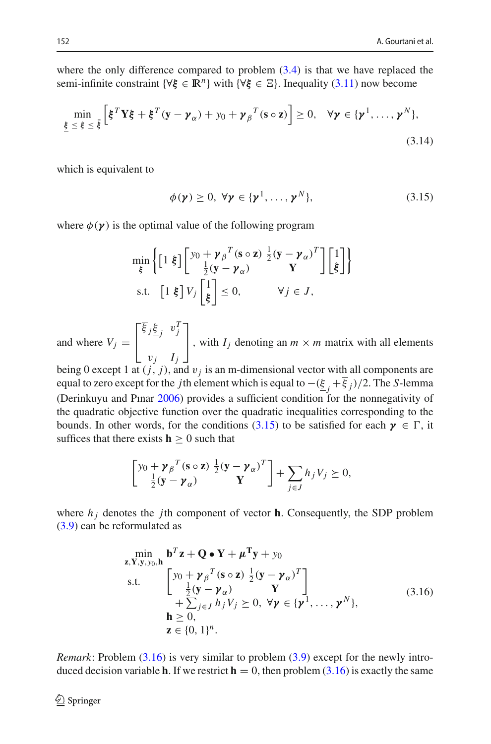where the only difference compared to problem [\(3.4\)](#page-7-3) is that we have replaced the semi-infinite constraint  $\{ \forall \xi \in \mathbb{R}^n \}$  with  $\{ \forall \xi \in \Xi \}$ . Inequality [\(3.11\)](#page-9-1) now become

<span id="page-11-2"></span>
$$
\min_{\xi \leq \xi \leq \bar{\xi}} \left[ \xi^T \mathbf{Y} \xi + \xi^T (\mathbf{y} - \boldsymbol{\gamma}_{\alpha}) + y_0 + \boldsymbol{\gamma}_{\beta}^T (\mathbf{s} \circ \mathbf{z}) \right] \geq 0, \quad \forall \mathbf{\gamma} \in \{\mathbf{\gamma}^1, \dots, \mathbf{\gamma}^N\},\tag{3.14}
$$

which is equivalent to

<span id="page-11-0"></span>
$$
\phi(\mathbf{y}) \geq 0, \ \forall \mathbf{y} \in \{\mathbf{y}^1, \dots, \mathbf{y}^N\},\tag{3.15}
$$

where  $\phi(\gamma)$  is the optimal value of the following program

$$
\min_{\xi} \left\{ \begin{bmatrix} 1 & \xi \end{bmatrix} \begin{bmatrix} y_0 + \gamma_{\beta}^T (\mathbf{s} \circ \mathbf{z}) \frac{1}{2} (\mathbf{y} - \gamma_{\alpha})^T \\ \frac{1}{2} (\mathbf{y} - \gamma_{\alpha}) \end{bmatrix} \begin{bmatrix} 1 \\ \xi \end{bmatrix} \right\}
$$
\ns.t.  $\begin{bmatrix} 1 & \xi \end{bmatrix} V_j \begin{bmatrix} 1 \\ \xi \end{bmatrix} \leq 0$ ,  $\forall j \in J$ ,

and where  $V_j =$  $\mathbf{L}$  $\mathbf{L}$  $\overline{\xi}_j \underline{\xi}_j \ v_j^T$  $v_j$  *I<sub>j</sub>*  $\overline{\phantom{a}}$ , with  $I_j$  denoting an  $m \times m$  matrix with all elements

being 0 except 1 at  $(j, j)$ , and  $v_j$  is an m-dimensional vector with all components are equal to zero except for the *j*th element which is equal to −(ξ *<sup>j</sup>* +ξ *<sup>j</sup>*)/2. The *S*-lemma (Derinkuyu and Pına[r](#page-30-18) [2006](#page-30-18)) provides a sufficient condition for the nonnegativity of the quadratic objective function over the quadratic inequalities corresponding to the bounds. In other words, for the conditions [\(3.15\)](#page-11-0) to be satisfied for each  $\gamma \in \Gamma$ , it suffices that there exists  $h > 0$  such that

$$
\begin{bmatrix} y_0 + \gamma_{\beta}^T (\mathbf{s} \circ \mathbf{z}) \frac{1}{2} (\mathbf{y} - \gamma_{\alpha})^T \\ \frac{1}{2} (\mathbf{y} - \gamma_{\alpha}) \mathbf{Y} \end{bmatrix} + \sum_{j \in J} h_j V_j \succeq 0,
$$

where  $h_j$  denotes the *j*th component of vector **h**. Consequently, the SDP problem [\(3.9\)](#page-9-2) can be reformulated as

<span id="page-11-1"></span>
$$
\min_{\mathbf{z}, \mathbf{Y}, \mathbf{y}_0, \mathbf{h}} \mathbf{b}^T \mathbf{z} + \mathbf{Q} \cdot \mathbf{Y} + \boldsymbol{\mu}^T \mathbf{y} + y_0
$$
\ns.t.\n
$$
\begin{bmatrix}\ny_0 + \boldsymbol{\gamma}_\beta^T (\mathbf{s} \circ \mathbf{z}) \frac{1}{2} (\mathbf{y} - \boldsymbol{\gamma}_\alpha)^T \\
\frac{1}{2} (\mathbf{y} - \boldsymbol{\gamma}_\alpha) & \mathbf{Y} \\
+\sum_{j \in J} h_j V_j \succeq 0, \ \forall \mathbf{y} \in \{\mathbf{y}^1, \dots, \mathbf{y}^N\}, \\
\mathbf{h} \geq 0, \\
\mathbf{z} \in \{0, 1\}^n.\n\end{bmatrix} \tag{3.16}
$$

*Remark*: Problem [\(3.16\)](#page-11-1) is very similar to problem [\(3.9\)](#page-9-2) except for the newly introduced decision variable **h**. If we restrict  $\mathbf{h} = 0$ , then problem [\(3.16\)](#page-11-1) is exactly the same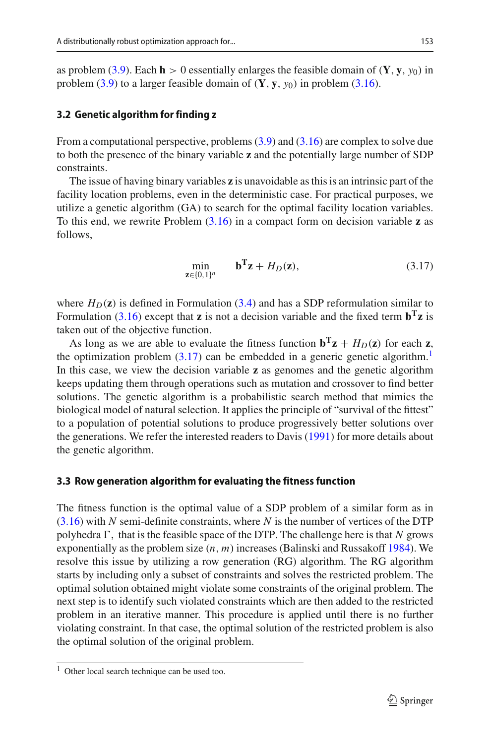as problem [\(3.9\)](#page-9-2). Each  $h > 0$  essentially enlarges the feasible domain of (**Y**, **y**, *y*<sub>0</sub>) in problem  $(3.9)$  to a larger feasible domain of  $(Y, y, y_0)$  in problem  $(3.16)$ .

# <span id="page-12-0"></span>**3.2 Genetic algorithm for finding z**

From a computational perspective, problems [\(3.9\)](#page-9-2) and [\(3.16\)](#page-11-1) are complex to solve due to both the presence of the binary variable **z** and the potentially large number of SDP constraints.

The issue of having binary variables **z** is unavoidable as this is an intrinsic part of the facility location problems, even in the deterministic case. For practical purposes, we utilize a genetic algorithm (GA) to search for the optimal facility location variables. To this end, we rewrite Problem [\(3.16\)](#page-11-1) in a compact form on decision variable **z** as follows,

<span id="page-12-2"></span>
$$
\min_{\mathbf{z}\in\{0,1\}^n} \qquad \mathbf{b}^{\mathrm{T}}\mathbf{z} + H_D(\mathbf{z}),\tag{3.17}
$$

where  $H_D(z)$  is defined in Formulation [\(3.4\)](#page-7-3) and has a SDP reformulation similar to Formulation [\(3.16\)](#page-11-1) except that **z** is not a decision variable and the fixed term  $\mathbf{b}^T \mathbf{z}$  is taken out of the objective function.

As long as we are able to evaluate the fitness function  $\mathbf{b}^T\mathbf{z} + H_D(\mathbf{z})$  for each **z**, the optimization problem  $(3.17)$  can be embedded in a generic genetic algorithm.<sup>1</sup> In this case, we view the decision variable **z** as genomes and the genetic algorithm keeps updating them through operations such as mutation and crossover to find better solutions. The genetic algorithm is a probabilistic search method that mimics the biological model of natural selection. It applies the principle of "survival of the fittest" to a population of potential solutions to produce progressively better solutions over the generations. We refer the interested readers to Davi[s](#page-30-19) [\(1991\)](#page-30-19) for more details about the genetic algorithm.

#### <span id="page-12-1"></span>**3.3 Row generation algorithm for evaluating the fitness function**

The fitness function is the optimal value of a SDP problem of a similar form as in [\(3.16\)](#page-11-1) with *N* semi-definite constraints, where *N* is the number of vertices of the DTP polyhedra  $\Gamma$ , that is the feasible space of the DTP. The challenge here is that *N* grows exponentially as the problem size (*n*, *m*) increases (Balinski and Russakof[f](#page-30-17) [1984](#page-30-17)). We resolve this issue by utilizing a row generation (RG) algorithm. The RG algorithm starts by including only a subset of constraints and solves the restricted problem. The optimal solution obtained might violate some constraints of the original problem. The next step is to identify such violated constraints which are then added to the restricted problem in an iterative manner. This procedure is applied until there is no further violating constraint. In that case, the optimal solution of the restricted problem is also the optimal solution of the original problem.

<span id="page-12-3"></span><sup>1</sup> Other local search technique can be used too.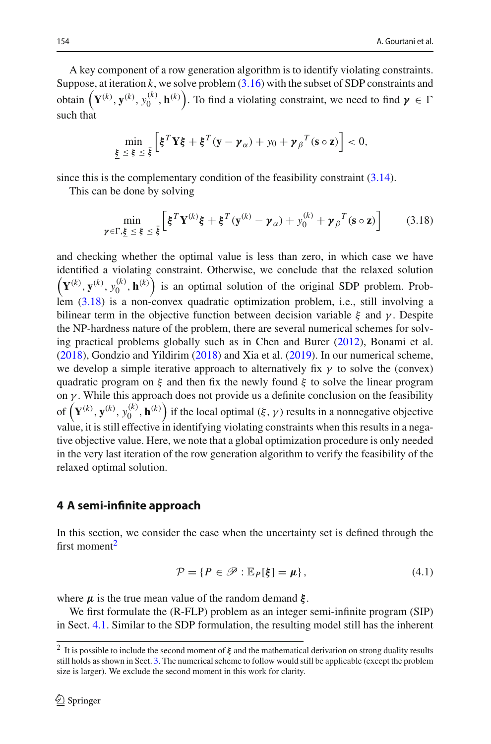A key component of a row generation algorithm is to identify violating constraints. Suppose, at iteration  $k$ , we solve problem  $(3.16)$  with the subset of SDP constraints and obtain  $(Y^{(k)}, y^{(k)}, y_0^{(k)}, h^{(k)})$ . To find a violating constraint, we need to find  $\gamma \in \Gamma$ such that

$$
\min_{\underline{\xi} \leq \xi \leq \overline{\xi}} \left[ \xi^T \mathbf{Y} \xi + \xi^T (\mathbf{y} - \boldsymbol{\gamma}_{\alpha}) + y_0 + \boldsymbol{\gamma}_{\beta}^T (\mathbf{s} \circ \mathbf{z}) \right] < 0,
$$

since this is the complementary condition of the feasibility constraint  $(3.14)$ .

This can be done by solving

<span id="page-13-1"></span>
$$
\min_{\mathbf{y} \in \Gamma, \xi \le \xi} \left[ \xi^T \mathbf{Y}^{(k)} \xi + \xi^T (\mathbf{y}^{(k)} - \mathbf{y}_\alpha) + y_0^{(k)} + \mathbf{y}_\beta^T (\mathbf{s} \circ \mathbf{z}) \right]
$$
(3.18)

and checking whether the optimal value is less than zero, in which case we have identified a violating constraint. Otherwise, we conclude that the relaxed solution  $(\mathbf{Y}^{(k)}, \mathbf{y}^{(k)}, \mathbf{y}^{(k)}_0, \mathbf{h}^{(k)})$  is an optimal solution of the original SDP problem. Problem [\(3.18\)](#page-13-1) is a non-convex quadratic optimization problem, i.e., still involving a bilinear term in the objective function between decision variable  $\xi$  and  $\gamma$ . Despite the NP-hardness nature of the problem, there are several numerical schemes for solving practical problems globally such as in Chen and Bure[r](#page-30-20) [\(2012](#page-30-20)), Bonami et al[.](#page-30-21) [\(2018\)](#page-30-21), Gondzio and Yildiri[m](#page-30-22) [\(2018\)](#page-30-22) and Xia et al[.](#page-31-9) [\(2019\)](#page-31-9). In our numerical scheme, we develop a simple iterative approach to alternatively fix  $\gamma$  to solve the (convex) quadratic program on  $\xi$  and then fix the newly found  $\xi$  to solve the linear program on  $\gamma$ . While this approach does not provide us a definite conclusion on the feasibility of  $(Y^{(k)}, y^{(k)}, y^{(k)}_0, \mathbf{h}^{(k)})$  if the local optimal  $(\xi, \gamma)$  results in a nonnegative objective value, it is still effective in identifying violating constraints when this results in a negative objective value. Here, we note that a global optimization procedure is only needed in the very last iteration of the row generation algorithm to verify the feasibility of the relaxed optimal solution.

#### <span id="page-13-0"></span>**4 A semi-infinite approach**

In this section, we consider the case when the uncertainty set is defined through the first moment $^2$ 

$$
\mathcal{P} = \{ P \in \mathcal{P} : \mathbb{E}_P[\xi] = \mu \},\tag{4.1}
$$

where  $\mu$  is the true mean value of the random demand  $\xi$ .

We first formulate the (R-FLP) problem as an integer semi-infinite program (SIP) in Sect. [4.1.](#page-14-0) Similar to the SDP formulation, the resulting model still has the inherent

<span id="page-13-2"></span><sup>2</sup> It is possible to include the second moment of *ξ* and the mathematical derivation on strong duality results still holds as shown in Sect. [3.](#page-6-0) The numerical scheme to follow would still be applicable (except the problem size is larger). We exclude the second moment in this work for clarity.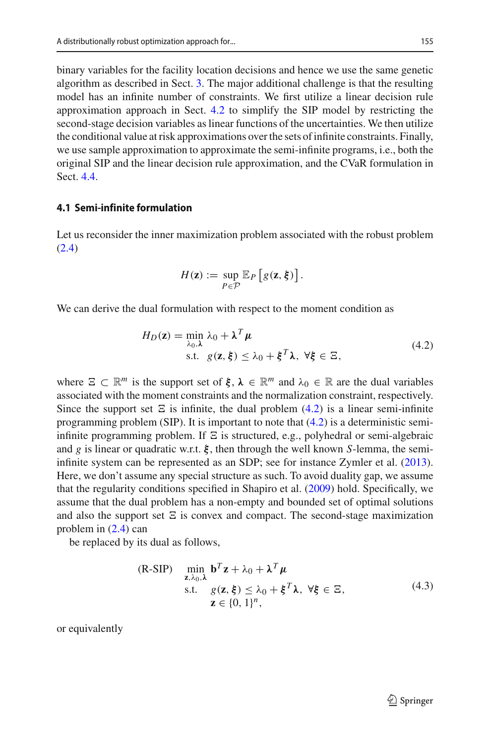binary variables for the facility location decisions and hence we use the same genetic algorithm as described in Sect. [3.](#page-6-0) The major additional challenge is that the resulting model has an infinite number of constraints. We first utilize a linear decision rule approximation approach in Sect. [4.2](#page-15-0) to simplify the SIP model by restricting the second-stage decision variables as linear functions of the uncertainties. We then utilize the conditional value at risk approximations over the sets of infinite constraints. Finally, we use sample approximation to approximate the semi-infinite programs, i.e., both the original SIP and the linear decision rule approximation, and the CVaR formulation in Sect. [4.4.](#page-17-0)

### <span id="page-14-0"></span>**4.1 Semi-infinite formulation**

Let us reconsider the inner maximization problem associated with the robust problem [\(2.4\)](#page-5-0)

$$
H(\mathbf{z}) := \sup_{P \in \mathcal{P}} \mathbb{E}_P \left[ g(\mathbf{z}, \boldsymbol{\xi}) \right].
$$

We can derive the dual formulation with respect to the moment condition as

<span id="page-14-1"></span>
$$
H_D(\mathbf{z}) = \min_{\lambda_0, \lambda} \lambda_0 + \lambda^T \mu
$$
  
s.t.  $g(\mathbf{z}, \xi) \le \lambda_0 + \xi^T \lambda, \ \forall \xi \in \Xi,$  (4.2)

where  $\Xi \subset \mathbb{R}^m$  is the support set of  $\xi, \lambda \in \mathbb{R}^m$  and  $\lambda_0 \in \mathbb{R}$  are the dual variables associated with the moment constraints and the normalization constraint, respectively. Since the support set  $\Xi$  is infinite, the dual problem [\(4.2\)](#page-14-1) is a linear semi-infinite programming problem (SIP). It is important to note that [\(4.2\)](#page-14-1) is a deterministic semiinfinite programming problem. If  $\Xi$  is structured, e.g., polyhedral or semi-algebraic and *g* is linear or quadratic w.r.t. *ξ* , then through the well known *S*-lemma, the semiinfinite system can be represented as an SDP; see for instance Zymler et al[.](#page-31-7) [\(2013](#page-31-7)). Here, we don't assume any special structure as such. To avoid duality gap, we assume that the regularity conditions specified in Shapiro et al[.](#page-31-8) [\(2009](#page-31-8)) hold. Specifically, we assume that the dual problem has a non-empty and bounded set of optimal solutions and also the support set  $\Xi$  is convex and compact. The second-stage maximization problem in [\(2.4\)](#page-5-0) can

be replaced by its dual as follows,

(R-SIP) 
$$
\min_{\mathbf{z}, \lambda_0, \lambda} \mathbf{b}^T \mathbf{z} + \lambda_0 + \lambda^T \boldsymbol{\mu}
$$
  
s.t. 
$$
g(\mathbf{z}, \boldsymbol{\xi}) \le \lambda_0 + \boldsymbol{\xi}^T \lambda, \ \forall \boldsymbol{\xi} \in \Xi,
$$

$$
\mathbf{z} \in \{0, 1\}^n,
$$
 (4.3)

or equivalently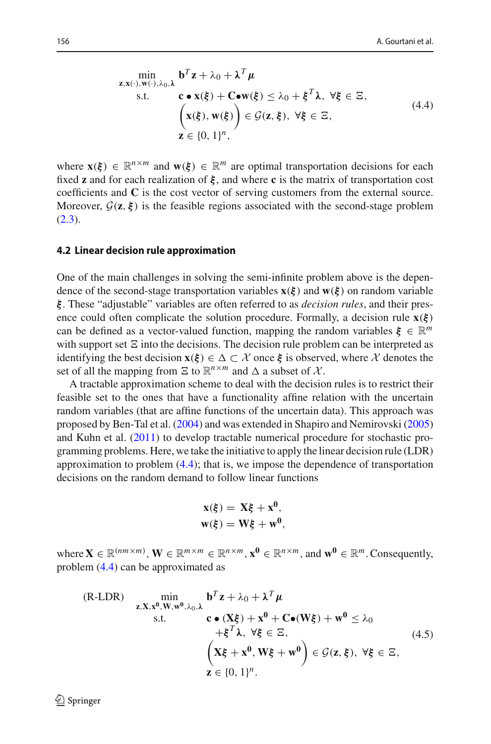<span id="page-15-1"></span>
$$
\min_{\mathbf{z}, \mathbf{x}(\cdot), \mathbf{w}(\cdot), \lambda_0, \lambda} \mathbf{b}^T \mathbf{z} + \lambda_0 + \lambda^T \mu
$$
\ns.t. 
$$
\mathbf{c} \cdot \mathbf{x}(\xi) + \mathbf{C} \cdot \mathbf{w}(\xi) \leq \lambda_0 + \xi^T \lambda, \ \forall \xi \in \Xi,
$$
\n
$$
\left(\mathbf{x}(\xi), \mathbf{w}(\xi)\right) \in \mathcal{G}(\mathbf{z}, \xi), \ \forall \xi \in \Xi,
$$
\n
$$
\mathbf{z} \in \{0, 1\}^n,
$$
\n(4.4)

where  $\mathbf{x}(\xi) \in \mathbb{R}^{n \times m}$  and  $\mathbf{w}(\xi) \in \mathbb{R}^m$  are optimal transportation decisions for each fixed **z** and for each realization of *ξ* , and where **c** is the matrix of transportation cost coefficients and **C** is the cost vector of serving customers from the external source. Moreover,  $G(\mathbf{z}, \xi)$  is the feasible regions associated with the second-stage problem  $(2.3).$  $(2.3).$ 

#### <span id="page-15-0"></span>**4.2 Linear decision rule approximation**

One of the main challenges in solving the semi-infinite problem above is the dependence of the second-stage transportation variables **x**(*ξ* ) and **w**(*ξ* ) on random variable *ξ* . These "adjustable" variables are often referred to as *decision rules*, and their presence could often complicate the solution procedure. Formally, a decision rule **x**(*ξ* ) can be defined as a vector-valued function, mapping the random variables  $\xi \in \mathbb{R}^m$ with support set  $\Xi$  into the decisions. The decision rule problem can be interpreted as identifying the best decision  $\mathbf{x}(\xi) \in \Delta \subset \mathcal{X}$  once  $\xi$  is observed, where  $\mathcal{X}$  denotes the set of all the mapping from  $\Xi$  to  $\mathbb{R}^{n \times m}$  and  $\Delta$  a subset of  $\mathcal{X}$ .

A tractable approximation scheme to deal with the decision rules is to restrict their feasible set to the ones that have a functionality affine relation with the uncertain random variables (that are affine functions of the uncertain data). This approach was proposed by Ben-Tal et al[.](#page-30-23) [\(2004](#page-30-23)) and was extended in Shapiro and Nemirovsk[i](#page-30-24) [\(2005\)](#page-30-24) and Kuhn et al[.](#page-30-25) [\(2011\)](#page-30-25) to develop tractable numerical procedure for stochastic programming problems. Here, we take the initiative to apply the linear decision rule (LDR) approximation to problem [\(4.4\)](#page-15-1); that is, we impose the dependence of transportation decisions on the random demand to follow linear functions

$$
x(\xi) = X\xi + x^0,
$$
  

$$
w(\xi) = W\xi + w^0,
$$

where  $\mathbf{X} \in \mathbb{R}^{(nm \times m)}$ ,  $\mathbf{W} \in \mathbb{R}^{m \times m} \in \mathbb{R}^{n \times m}$ ,  $\mathbf{x}^0 \in \mathbb{R}^{n \times m}$ , and  $\mathbf{w}^0 \in \mathbb{R}^m$ . Consequently, problem [\(4.4\)](#page-15-1) can be approximated as

<span id="page-15-2"></span>(R-LDR) 
$$
\min_{\mathbf{z}, \mathbf{X}, \mathbf{x}^0, \mathbf{W}, \mathbf{w}^0, \lambda_0, \lambda} \mathbf{b}^T \mathbf{z} + \lambda_0 + \lambda^T \mu
$$
  
s.t. 
$$
\mathbf{c} \bullet (\mathbf{X}\xi) + \mathbf{x}^0 + \mathbf{C} \bullet (\mathbf{W}\xi) + \mathbf{w}^0 \le \lambda_0
$$

$$
+ \xi^T \lambda, \ \forall \xi \in \Xi,
$$

$$
\left(\mathbf{X}\xi + \mathbf{x}^0, \mathbf{W}\xi + \mathbf{w}^0\right) \in \mathcal{G}(\mathbf{z}, \xi), \ \forall \xi \in \Xi,
$$

$$
\mathbf{z} \in \{0, 1\}^n.
$$
 (4.5)

 $\textcircled{2}$  Springer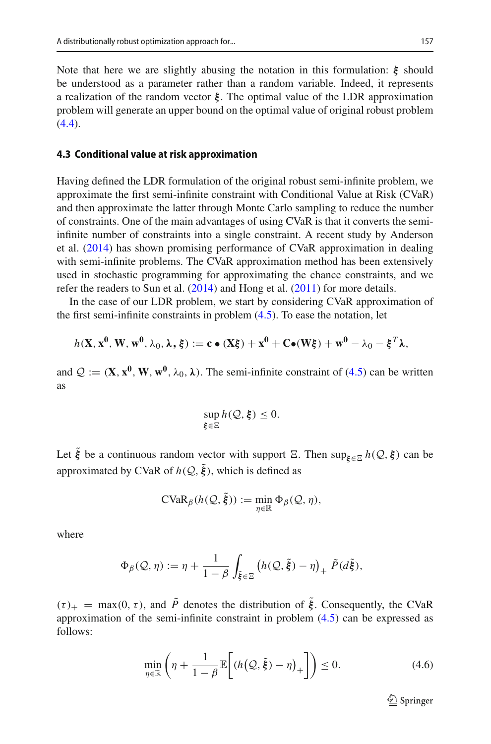Note that here we are slightly abusing the notation in this formulation: *ξ* should be understood as a parameter rather than a random variable. Indeed, it represents a realization of the random vector *ξ* . The optimal value of the LDR approximation problem will generate an upper bound on the optimal value of original robust problem  $(4.4)$ .

#### **4.3 Conditional value at risk approximation**

Having defined the LDR formulation of the original robust semi-infinite problem, we approximate the first semi-infinite constraint with Conditional Value at Risk (CVaR) and then approximate the latter through Monte Carlo sampling to reduce the number of constraints. One of the main advantages of using CVaR is that it converts the semiinfinite number of constraints into a single constraint. A recent study by Anderson et al[.](#page-29-3) [\(2014\)](#page-29-3) has shown promising performance of CVaR approximation in dealing with semi-infinite problems. The CVaR approximation method has been extensively used in stochastic programming for approximating the chance constraints, and we refer the readers to Sun et al[.](#page-31-10) [\(2014](#page-31-10)) and Hong et al[.](#page-30-26) [\(2011\)](#page-30-26) for more details.

In the case of our LDR problem, we start by considering CVaR approximation of the first semi-infinite constraints in problem [\(4.5\)](#page-15-2). To ease the notation, let

$$
h(\mathbf{X}, \mathbf{x}^0, \mathbf{W}, \mathbf{w}^0, \lambda_0, \lambda, \xi) := \mathbf{c} \bullet (\mathbf{X}\xi) + \mathbf{x}^0 + \mathbf{C} \bullet (\mathbf{W}\xi) + \mathbf{w}^0 - \lambda_0 - \xi^T \lambda,
$$

and  $Q := (\mathbf{X}, \mathbf{x}^0, \mathbf{W}, \mathbf{w}^0, \lambda_0, \lambda)$ . The semi-infinite constraint of [\(4.5\)](#page-15-2) can be written as

$$
\sup_{\xi \in \Xi} h(\mathcal{Q}, \xi) \leq 0.
$$

Let  $\xi$  be a continuous random vector with support  $\Xi$ . Then  $\sup_{\xi \in \Xi} h(Q, \xi)$  can be approximated by CVaR of  $h(Q, \xi)$ , which is defined as

$$
\text{CVaR}_{\beta}(h(\mathcal{Q},\tilde{\xi})) := \min_{\eta \in \mathbb{R}} \Phi_{\beta}(\mathcal{Q},\eta),
$$

where

$$
\Phi_{\beta}(\mathcal{Q}, \eta) := \eta + \frac{1}{1 - \beta} \int_{\tilde{\xi} \in \Xi} \left( h(\mathcal{Q}, \tilde{\xi}) - \eta \right)_+ \tilde{P}(d\tilde{\xi}),
$$

 $(\tau)_+$  = max(0,  $\tau$ ), and *P* denotes the distribution of  $\xi$ . Consequently, the CVaR approximation of the semi-infinite constraint in problem [\(4.5\)](#page-15-2) can be expressed as follows:

$$
\min_{\eta \in \mathbb{R}} \left( \eta + \frac{1}{1 - \beta} \mathbb{E} \bigg[ \left( h \big( \mathcal{Q}, \tilde{\xi} \big) - \eta \big)_{+} \bigg] \right) \le 0. \tag{4.6}
$$

 $\mathcal{D}$  Springer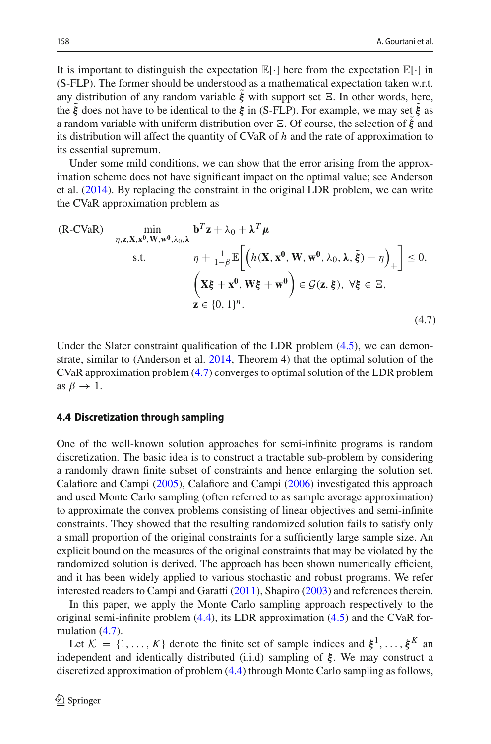It is important to distinguish the expectation  $\mathbb{E}[\cdot]$  here from the expectation  $\mathbb{E}[\cdot]$  in (S-FLP). The former should be understood as a mathematical expectation taken w.r.t. any distribution of any random variable ξ with support set Ξ. In other words, here, the *ξ* does not have to be identical to the *ξ* in (S-FLP). For example, we may set *ξ* as a random variable with uniform distribution over Ξ. Of course, the selection of  $\xi$  and its distribution will affect the quantity of CVaR of *h* and the rate of approximation to its essential supremum.

Under some mild conditions, we can show that the error arising from the approximation scheme does not have significant impact on the optimal value; see Anderson et al[.](#page-29-3) [\(2014](#page-29-3)). By replacing the constraint in the original LDR problem, we can write the CVaR approximation problem as

<span id="page-17-1"></span>
$$
\begin{aligned} \text{(R-CVaR)} & \min_{\eta, \mathbf{z}, \mathbf{X}, \mathbf{x}^0, \mathbf{W}, \mathbf{w}^0, \lambda_0, \lambda} \mathbf{b}^T \mathbf{z} + \lambda_0 + \lambda^T \mu \\ \text{s.t.} & \eta + \frac{1}{1 - \beta} \mathbb{E} \bigg[ \left( h(\mathbf{X}, \mathbf{x}^0, \mathbf{W}, \mathbf{w}^0, \lambda_0, \lambda, \tilde{\xi}) - \eta \right)_+ \bigg] \le 0, \\ & \left( \mathbf{X}\xi + \mathbf{x}^0, \mathbf{W}\xi + \mathbf{w}^0 \right) \in \mathcal{G}(\mathbf{z}, \xi), \ \forall \xi \in \Xi, \\ & \mathbf{z} \in \{0, 1\}^n. \end{aligned} \tag{4.7}
$$

Under the Slater constraint qualification of the LDR problem  $(4.5)$ , we can demonstrate, similar to (Anderson et al[.](#page-29-3) [2014](#page-29-3), Theorem 4) that the optimal solution of the CVaR approximation problem [\(4.7\)](#page-17-1) converges to optimal solution of the LDR problem as  $\beta \rightarrow 1$ .

#### <span id="page-17-0"></span>**4.4 Discretization through sampling**

One of the well-known solution approaches for semi-infinite programs is random discretization. The basic idea is to construct a tractable sub-problem by considering a randomly drawn finite subset of constraints and hence enlarging the solution set. Calafiore and Camp[i](#page-30-27) [\(2005\)](#page-30-27), Calafiore and Camp[i](#page-30-28) [\(2006\)](#page-30-28) investigated this approach and used Monte Carlo sampling (often referred to as sample average approximation) to approximate the convex problems consisting of linear objectives and semi-infinite constraints. They showed that the resulting randomized solution fails to satisfy only a small proportion of the original constraints for a sufficiently large sample size. An explicit bound on the measures of the original constraints that may be violated by the randomized solution is derived. The approach has been shown numerically efficient, and it has been widely applied to various stochastic and robust programs. We refer interested readers to Campi and Garatt[i](#page-30-29) [\(2011\)](#page-30-29), Shapir[o](#page-30-30) [\(2003](#page-30-30)) and references therein.

In this paper, we apply the Monte Carlo sampling approach respectively to the original semi-infinite problem  $(4.4)$ , its LDR approximation  $(4.5)$  and the CVaR formulation [\(4.7\)](#page-17-1).

Let  $K = \{1, \ldots, K\}$  denote the finite set of sample indices and  $\xi^1, \ldots, \xi^K$  and independent and identically distributed (i.i.d) sampling of *ξ* . We may construct a discretized approximation of problem [\(4.4\)](#page-15-1) through Monte Carlo sampling as follows,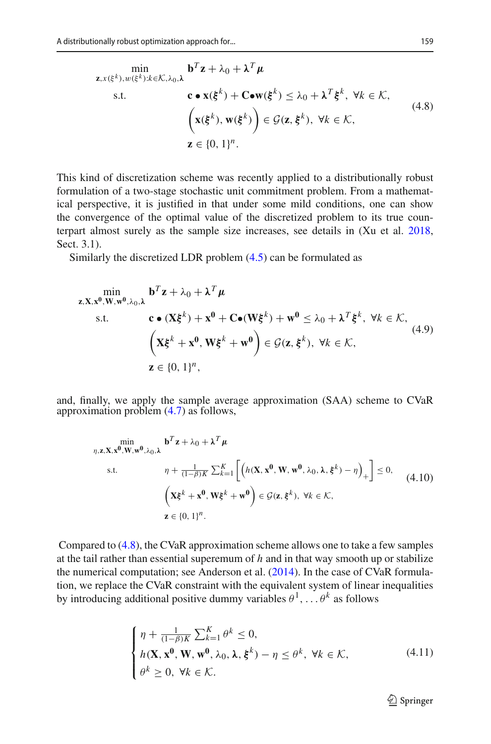<span id="page-18-0"></span>
$$
\min_{\mathbf{z},x(\xi^k),w(\xi^k):k\in\mathcal{K},\lambda_0,\lambda} \mathbf{b}^T \mathbf{z} + \lambda_0 + \lambda^T \boldsymbol{\mu}
$$
\ns.t. 
$$
\mathbf{c} \cdot \mathbf{x}(\xi^k) + \mathbf{C} \cdot \mathbf{w}(\xi^k) \leq \lambda_0 + \lambda^T \xi^k, \ \forall k \in \mathcal{K},
$$
\n
$$
\left(\mathbf{x}(\xi^k),\mathbf{w}(\xi^k)\right) \in \mathcal{G}(\mathbf{z},\xi^k), \ \forall k \in \mathcal{K},
$$
\n
$$
\mathbf{z} \in \{0,1\}^n.
$$
\n(4.8)

This kind of discretization scheme was recently applied to a distributionally robust formulation of a two-stage stochastic unit commitment problem. From a mathematical perspective, it is justified in that under some mild conditions, one can show the convergence of the optimal value of the discretized problem to its true counterpart almost surely as the sample size increases, see details in (Xu et al[.](#page-31-3) [2018,](#page-31-3) Sect. 3.1).

Similarly the discretized LDR problem [\(4.5\)](#page-15-2) can be formulated as

$$
\min_{\mathbf{z}, \mathbf{X}, \mathbf{x}^0, \mathbf{W}, \mathbf{w}^0, \lambda_0, \lambda} \mathbf{b}^T \mathbf{z} + \lambda_0 + \lambda^T \mu
$$
\ns.t.\n
$$
\mathbf{c} \bullet (\mathbf{X} \xi^k) + \mathbf{x}^0 + \mathbf{C} \bullet (\mathbf{W} \xi^k) + \mathbf{w}^0 \le \lambda_0 + \lambda^T \xi^k, \ \forall k \in \mathcal{K},
$$
\n
$$
\left( \mathbf{X} \xi^k + \mathbf{x}^0, \mathbf{W} \xi^k + \mathbf{w}^0 \right) \in \mathcal{G}(\mathbf{z}, \xi^k), \ \forall k \in \mathcal{K},
$$
\n
$$
\mathbf{z} \in \{0, 1\}^n,
$$
\n(4.9)

and, finally, we apply the sample average approximation (SAA) scheme to CVaR approximation problem [\(4.7\)](#page-17-1) as follows,

$$
\min_{\eta, \mathbf{z}, \mathbf{X}, \mathbf{x}^0, \mathbf{W}, \mathbf{w}^0, \lambda_0, \lambda} \mathbf{b}^T \mathbf{z} + \lambda_0 + \lambda^T \mu
$$
\ns.t.\n
$$
\eta + \frac{1}{(1-\beta)K} \sum_{k=1}^K \left[ \left( h(\mathbf{X}, \mathbf{x}^0, \mathbf{W}, \mathbf{w}^0, \lambda_0, \lambda, \xi^k) - \eta \right)_+ \right] \le 0,
$$
\n
$$
\left( \mathbf{X} \xi^k + \mathbf{x}^0, \mathbf{W} \xi^k + \mathbf{w}^0 \right) \in \mathcal{G}(\mathbf{z}, \xi^k), \ \forall k \in \mathcal{K},
$$
\n
$$
\mathbf{z} \in \{0, 1\}^n.
$$
\n(4.10)

Compared to [\(4.8\)](#page-18-0), the CVaR approximation scheme allows one to take a few samples at the tail rather than essential superemum of *h* and in that way smooth up or stabilize the numerical computation; see Anderson et al[.](#page-29-3) [\(2014](#page-29-3)). In the case of CVaR formulation, we replace the CVaR constraint with the equivalent system of linear inequalities by introducing additional positive dummy variables  $\theta^1, \ldots, \theta^k$  as follows

$$
\begin{cases}\n\eta + \frac{1}{(1-\beta)K} \sum_{k=1}^{K} \theta^k \le 0, \\
h(\mathbf{X}, \mathbf{x}^0, \mathbf{W}, \mathbf{w}^0, \lambda_0, \lambda, \xi^k) - \eta \le \theta^k, \ \forall k \in \mathcal{K}, \\
\theta^k \ge 0, \ \forall k \in \mathcal{K}.\n\end{cases} \tag{4.11}
$$

 $\mathcal{D}$  Springer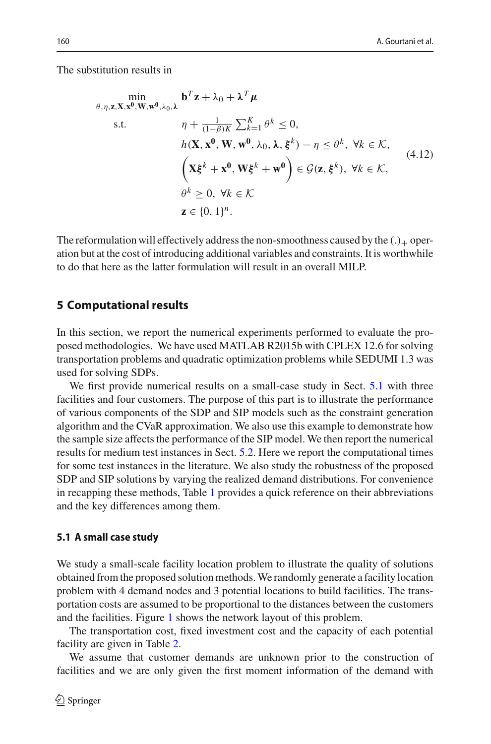The substitution results in

$$
\min_{\theta,\eta,\mathbf{z},\mathbf{X},\mathbf{x}^0,\mathbf{W},\mathbf{w}^0,\lambda_0,\lambda} \mathbf{b}^T \mathbf{z} + \lambda_0 + \lambda^T \boldsymbol{\mu}
$$
\ns.t. 
$$
\eta + \frac{1}{(1-\beta)K} \sum_{k=1}^K \theta^k \le 0,
$$
\n
$$
h(\mathbf{X},\mathbf{x}^0,\mathbf{W},\mathbf{w}^0,\lambda_0,\lambda,\xi^k) - \eta \le \theta^k, \forall k \in \mathcal{K},
$$
\n
$$
\left(\mathbf{X}\xi^k + \mathbf{x}^0,\mathbf{W}\xi^k + \mathbf{w}^0\right) \in \mathcal{G}(\mathbf{z},\xi^k), \forall k \in \mathcal{K},
$$
\n
$$
\theta^k \ge 0, \forall k \in \mathcal{K}
$$
\n
$$
\mathbf{z} \in \{0,1\}^n.
$$
\n(4.12)

The reformulation will effectively address the non-smoothness caused by the  $(.)_+$  operation but at the cost of introducing additional variables and constraints. It is worthwhile to do that here as the latter formulation will result in an overall MILP.

## <span id="page-19-0"></span>**5 Computational results**

In this section, we report the numerical experiments performed to evaluate the proposed methodologies. We have used MATLAB R2015b with CPLEX 12.6 for solving transportation problems and quadratic optimization problems while SEDUMI 1.3 was used for solving SDPs.

We first provide numerical results on a small-case study in Sect. [5.1](#page-19-1) with three facilities and four customers. The purpose of this part is to illustrate the performance of various components of the SDP and SIP models such as the constraint generation algorithm and the CVaR approximation. We also use this example to demonstrate how the sample size affects the performance of the SIP model. We then report the numerical results for medium test instances in Sect. [5.2.](#page-25-0) Here we report the computational times for some test instances in the literature. We also study the robustness of the proposed SDP and SIP solutions by varying the realized demand distributions. For convenience in recapping these methods, Table [1](#page-20-0) provides a quick reference on their abbreviations and the key differences among them.

#### <span id="page-19-1"></span>**5.1 A small case study**

We study a small-scale facility location problem to illustrate the quality of solutions obtained from the proposed solution methods.We randomly generate a facility location problem with 4 demand nodes and 3 potential locations to build facilities. The transportation costs are assumed to be proportional to the distances between the customers and the facilities. Figure [1](#page-20-1) shows the network layout of this problem.

The transportation cost, fixed investment cost and the capacity of each potential facility are given in Table [2.](#page-20-2)

We assume that customer demands are unknown prior to the construction of facilities and we are only given the first moment information of the demand with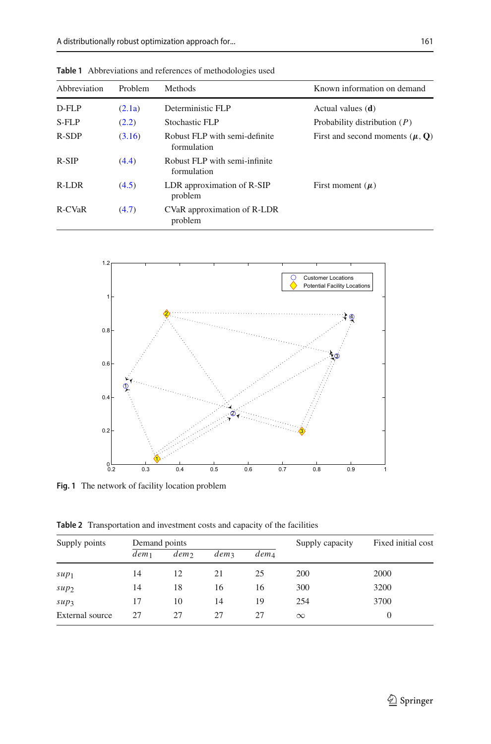| Abbreviation | Problem | <b>Methods</b>                               | Known information on demand           |
|--------------|---------|----------------------------------------------|---------------------------------------|
| D-FLP        | (2.1a)  | Deterministic FLP                            | Actual values $(d)$                   |
| $S-FLP$      | (2.2)   | Stochastic FLP                               | Probability distribution $(P)$        |
| R-SDP        | (3.16)  | Robust FLP with semi-definite<br>formulation | First and second moments ( $\mu$ , O) |
| $R-SIP$      | (4.4)   | Robust FLP with semi-infinite<br>formulation |                                       |
| R-LDR        | (4.5)   | LDR approximation of R-SIP<br>problem        | First moment $(\mu)$                  |
| R-CVaR       | (4.7)   | CVaR approximation of R-LDR<br>problem       |                                       |

<span id="page-20-0"></span>**Table 1** Abbreviations and references of methodologies used



<span id="page-20-1"></span>**Fig. 1** The network of facility location problem

<span id="page-20-2"></span>**Table 2** Transportation and investment costs and capacity of the facilities

|     |                                   | Supply capacity  | Fixed initial cost |      |
|-----|-----------------------------------|------------------|--------------------|------|
| dem | dem                               | dem <sub>4</sub> |                    |      |
| 12  | 21                                | 25               | 200                | 2000 |
| 18  | 16                                | 16               | 300                | 3200 |
| 10  | 14                                | 19               | 254                | 3700 |
| 27  | 27                                | 27               | $\infty$           | 0    |
|     | Demand points<br>dem <sub>1</sub> |                  |                    |      |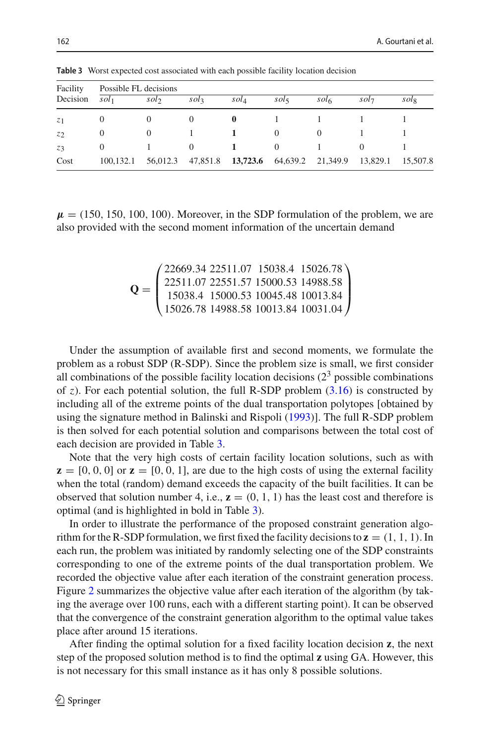| Facility<br>Decision | Possible FL decisions<br>$sol_1$ | solo     | $sol_3$  | $sol_4$                    | sols | $\mathcal{S}ol6$ | Sol7     | solg     |
|----------------------|----------------------------------|----------|----------|----------------------------|------|------------------|----------|----------|
| $z_1$                | $\theta$                         |          |          |                            |      |                  |          |          |
| Z <sub>2</sub>       | $\theta$                         | $\theta$ |          |                            |      | $\theta$         |          |          |
| $Z_3$                |                                  |          | $\Omega$ |                            |      |                  |          |          |
| Cost                 | 100.132.1                        | 56,012.3 | 47,851.8 | 13,723.6 64,639.2 21,349.9 |      |                  | 13,829.1 | 15,507.8 |

<span id="page-21-0"></span>**Table 3** Worst expected cost associated with each possible facility location decision

 $\mu = (150, 150, 100, 100)$ . Moreover, in the SDP formulation of the problem, we are also provided with the second moment information of the uncertain demand

$$
\mathbf{Q} = \begin{pmatrix} 22669.34 & 22511.07 & 15038.4 & 15026.78 \\ 22511.07 & 22551.57 & 15000.53 & 14988.58 \\ 15038.4 & 15000.53 & 10045.48 & 10013.84 \\ 15026.78 & 14988.58 & 10013.84 & 10031.04 \end{pmatrix}
$$

Under the assumption of available first and second moments, we formulate the problem as a robust SDP (R-SDP). Since the problem size is small, we first consider all combinations of the possible facility location decisions  $(2^3)$  possible combinations of *z*). For each potential solution, the full R-SDP problem  $(3.16)$  is constructed by including all of the extreme points of the dual transportation polytopes [obtained by using the signature method in Balinski and Rispol[i](#page-30-31) [\(1993](#page-30-31))]. The full R-SDP problem is then solved for each potential solution and comparisons between the total cost of each decision are provided in Table [3.](#page-21-0)

Note that the very high costs of certain facility location solutions, such as with  $z = [0, 0, 0]$  or  $z = [0, 0, 1]$ , are due to the high costs of using the external facility when the total (random) demand exceeds the capacity of the built facilities. It can be observed that solution number 4, i.e.,  $z = (0, 1, 1)$  has the least cost and therefore is optimal (and is highlighted in bold in Table [3\)](#page-21-0).

In order to illustrate the performance of the proposed constraint generation algorithm for the R-SDP formulation, we first fixed the facility decisions to  $z = (1, 1, 1)$ . In each run, the problem was initiated by randomly selecting one of the SDP constraints corresponding to one of the extreme points of the dual transportation problem. We recorded the objective value after each iteration of the constraint generation process. Figure [2](#page-22-0) summarizes the objective value after each iteration of the algorithm (by taking the average over 100 runs, each with a different starting point). It can be observed that the convergence of the constraint generation algorithm to the optimal value takes place after around 15 iterations.

After finding the optimal solution for a fixed facility location decision **z**, the next step of the proposed solution method is to find the optimal **z** using GA. However, this is not necessary for this small instance as it has only 8 possible solutions.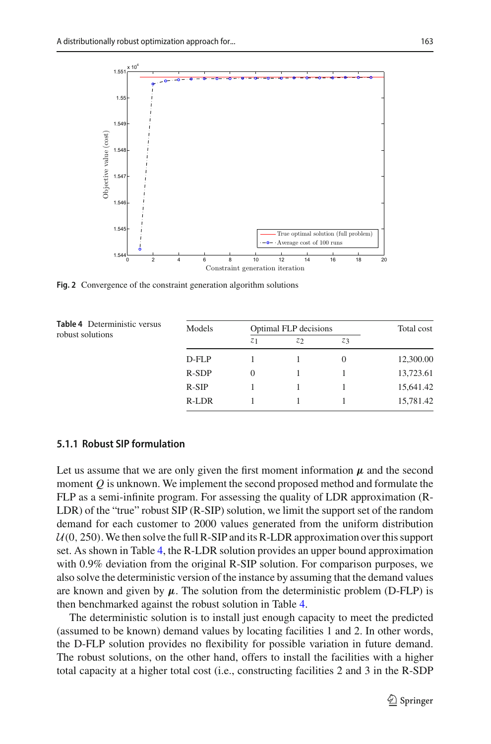

<span id="page-22-0"></span>**Fig. 2** Convergence of the constraint generation algorithm solutions

<span id="page-22-1"></span>

| Models  |          | Total cost     |       |                       |
|---------|----------|----------------|-------|-----------------------|
|         | $z_1$    | z <sub>2</sub> | $z_3$ |                       |
| D-FLP   |          |                |       | 12,300.00             |
| $R-SDP$ | $\Omega$ |                |       | 13,723.61             |
| $R-SIP$ |          |                |       | 15,641.42             |
| R-LDR   |          |                |       | 15,781.42             |
|         |          |                |       | Optimal FLP decisions |

## **5.1.1 Robust SIP formulation**

Let us assume that we are only given the first moment information  $\mu$  and the second moment *Q* is unknown. We implement the second proposed method and formulate the FLP as a semi-infinite program. For assessing the quality of LDR approximation (R-LDR) of the "true" robust SIP (R-SIP) solution, we limit the support set of the random demand for each customer to 2000 values generated from the uniform distribution  $U(0, 250)$ . We then solve the full R-SIP and its R-LDR approximation over this support set. As shown in Table [4,](#page-22-1) the R-LDR solution provides an upper bound approximation with 0.9% deviation from the original R-SIP solution. For comparison purposes, we also solve the deterministic version of the instance by assuming that the demand values are known and given by  $\mu$ . The solution from the deterministic problem (D-FLP) is then benchmarked against the robust solution in Table [4.](#page-22-1)

The deterministic solution is to install just enough capacity to meet the predicted (assumed to be known) demand values by locating facilities 1 and 2. In other words, the D-FLP solution provides no flexibility for possible variation in future demand. The robust solutions, on the other hand, offers to install the facilities with a higher total capacity at a higher total cost (i.e., constructing facilities 2 and 3 in the R-SDP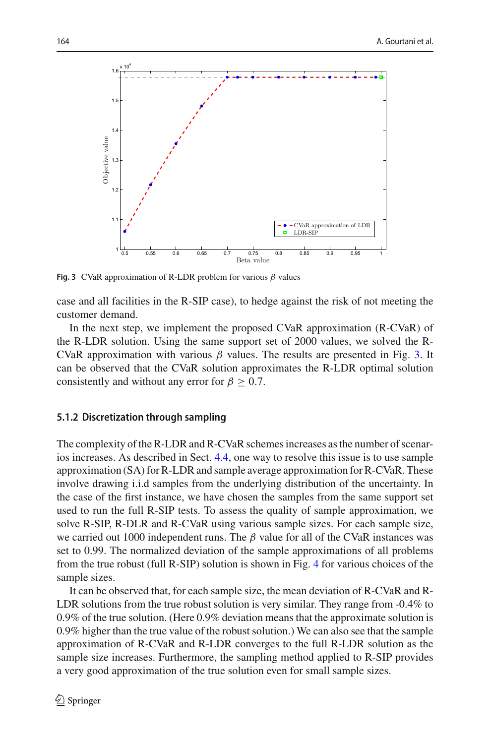

<span id="page-23-0"></span>**Fig. 3** CVaR approximation of R-LDR problem for various  $\beta$  values

case and all facilities in the R-SIP case), to hedge against the risk of not meeting the customer demand.

In the next step, we implement the proposed CVaR approximation (R-CVaR) of the R-LDR solution. Using the same support set of 2000 values, we solved the R-CVaR approximation with various  $\beta$  values. The results are presented in Fig. [3.](#page-23-0) It can be observed that the CVaR solution approximates the R-LDR optimal solution consistently and without any error for  $\beta \geq 0.7$ .

#### **5.1.2 Discretization through sampling**

The complexity of the R-LDR and R-CVaR schemes increases as the number of scenarios increases. As described in Sect. [4.4,](#page-17-0) one way to resolve this issue is to use sample approximation (SA) for R-LDR and sample average approximation for R-CVaR. These involve drawing i.i.d samples from the underlying distribution of the uncertainty. In the case of the first instance, we have chosen the samples from the same support set used to run the full R-SIP tests. To assess the quality of sample approximation, we solve R-SIP, R-DLR and R-CVaR using various sample sizes. For each sample size, we carried out 1000 independent runs. The  $\beta$  value for all of the CVaR instances was set to 0.99. The normalized deviation of the sample approximations of all problems from the true robust (full R-SIP) solution is shown in Fig. [4](#page-24-0) for various choices of the sample sizes.

It can be observed that, for each sample size, the mean deviation of R-CVaR and R-LDR solutions from the true robust solution is very similar. They range from -0.4% to 0.9% of the true solution. (Here 0.9% deviation means that the approximate solution is 0.9% higher than the true value of the robust solution.) We can also see that the sample approximation of R-CVaR and R-LDR converges to the full R-LDR solution as the sample size increases. Furthermore, the sampling method applied to R-SIP provides a very good approximation of the true solution even for small sample sizes.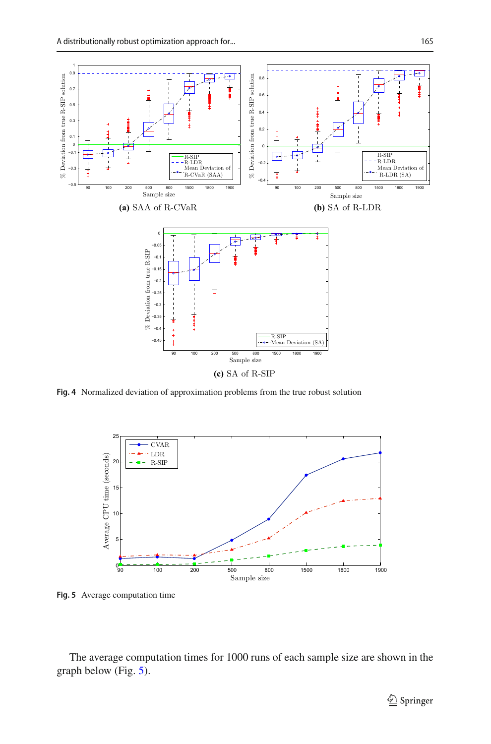

<span id="page-24-0"></span>**Fig. 4** Normalized deviation of approximation problems from the true robust solution



<span id="page-24-1"></span>**Fig. 5** Average computation time

The average computation times for 1000 runs of each sample size are shown in the graph below (Fig. [5\)](#page-24-1).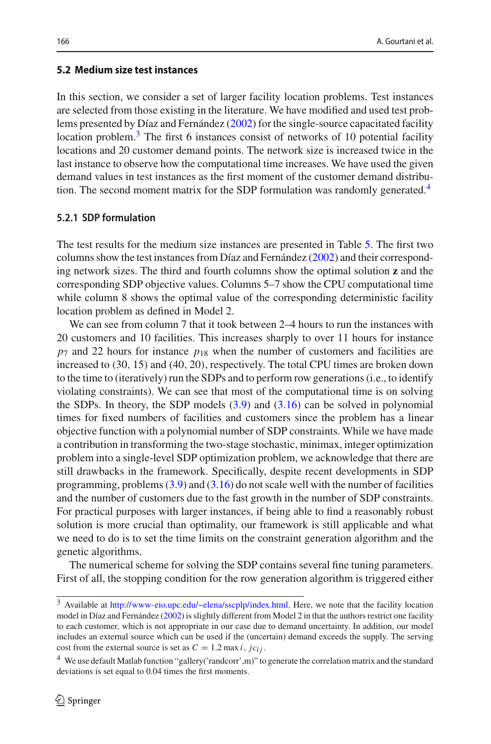### <span id="page-25-0"></span>**5.2 Medium size test instances**

In this section, we consider a set of larger facility location problems. Test instances are selected from those existing in the literature. We have modified and used test problems presented by Díaz and Fernánde[z](#page-30-32) [\(2002](#page-30-32)) for the single-source capacitated facility location problem.<sup>3</sup> The first 6 instances consist of networks of 10 potential facility locations and 20 customer demand points. The network size is increased twice in the last instance to observe how the computational time increases. We have used the given demand values in test instances as the first moment of the customer demand distribution. The second moment matrix for the SDP formulation was randomly generated.<sup>4</sup>

#### **5.2.1 SDP formulation**

The test results for the medium size instances are presented in Table [5.](#page-26-0) The first two columns show the test instances from Díaz and Fernánde[z](#page-30-32) [\(2002\)](#page-30-32) and their corresponding network sizes. The third and fourth columns show the optimal solution **z** and the corresponding SDP objective values. Columns 5–7 show the CPU computational time while column 8 shows the optimal value of the corresponding deterministic facility location problem as defined in Model 2.

We can see from column 7 that it took between 2–4 hours to run the instances with 20 customers and 10 facilities. This increases sharply to over 11 hours for instance *p*<sup>7</sup> and 22 hours for instance *p*<sup>18</sup> when the number of customers and facilities are increased to (30, 15) and (40, 20), respectively. The total CPU times are broken down to the time to (iteratively) run the SDPs and to perform row generations (i.e., to identify violating constraints). We can see that most of the computational time is on solving the SDPs. In theory, the SDP models [\(3.9\)](#page-9-2) and [\(3.16\)](#page-11-1) can be solved in polynomial times for fixed numbers of facilities and customers since the problem has a linear objective function with a polynomial number of SDP constraints. While we have made a contribution in transforming the two-stage stochastic, minimax, integer optimization problem into a single-level SDP optimization problem, we acknowledge that there are still drawbacks in the framework. Specifically, despite recent developments in SDP programming, problems  $(3.9)$  and  $(3.16)$  do not scale well with the number of facilities and the number of customers due to the fast growth in the number of SDP constraints. For practical purposes with larger instances, if being able to find a reasonably robust solution is more crucial than optimality, our framework is still applicable and what we need to do is to set the time limits on the constraint generation algorithm and the genetic algorithms.

The numerical scheme for solving the SDP contains several fine tuning parameters. First of all, the stopping condition for the row generation algorithm is triggered either

<span id="page-25-1"></span><sup>3</sup> Available at [http://www-eio.upc.edu/~elena/sscplp/index.html.](http://www-eio.upc.edu/~elena/sscplp/index.html) Here, we note that the facility location model in Día[z](#page-30-32) and Fernández [\(2002](#page-30-32)) is slightly different from Model 2 in that the authors restrict one facility to each customer, which is not appropriate in our case due to demand uncertainty. In addition, our model includes an external source which can be used if the (uncertain) demand exceeds the supply. The serving cost from the external source is set as  $C = 1.2$  max *i*,  $jc_{ij}$ .

<span id="page-25-2"></span><sup>4</sup> We use default Matlab function "gallery('randcorr',m)" to generate the correlation matrix and the standard deviations is set equal to 0.04 times the first moments.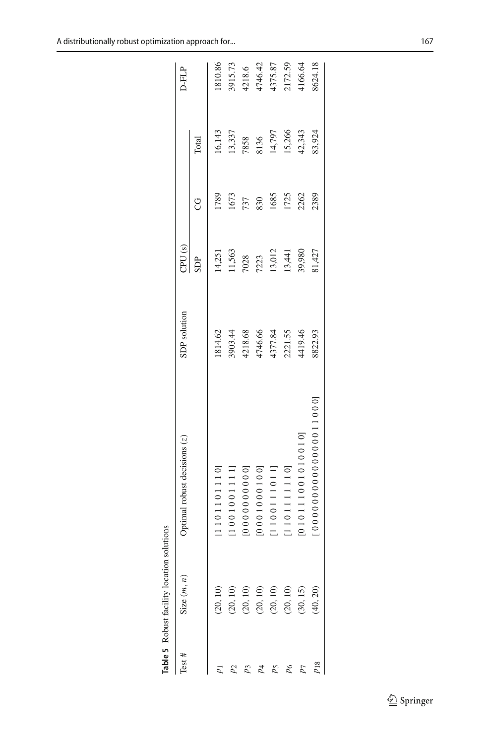| Test $#$       | Size $(m, n)$                                                                      | Optimal robust decisions $(z)$            | SDP solution | CPU(s) |      |        | D-FLP   |
|----------------|------------------------------------------------------------------------------------|-------------------------------------------|--------------|--------|------|--------|---------|
|                |                                                                                    |                                           |              | SDP    | g    | Total  |         |
|                | (20, 10)                                                                           | [1101101110]                              | 1814.62      | 14,251 | 1789 | 16,143 | 1810.86 |
| P <sub>2</sub> |                                                                                    | [1001001111]                              | 3903.44      | 11,563 | 1673 | 13,337 | 8915.73 |
|                |                                                                                    | [0000000000]                              | 4218.68      | 7028   | 737  | 7858   | 4218.6  |
|                |                                                                                    | [001000100]                               | 1746.66      | 7223   | 830  | 8136   | 1746.42 |
| Ρ5             |                                                                                    | [1100111011]                              | 4377.84      | 13,012 | 1685 | 14,797 | 4375.87 |
| P <sub>6</sub> | $\begin{array}{l} (20,10) \\ (20,10) \\ (20,10) \\ (20,10) \\ (20,10) \end{array}$ | [11011111110]                             | 2221.55      | 13,441 | 1725 | 15,266 | 2172.59 |
|                | (30, 15)                                                                           | [010111001010010]                         | 4419.46      | 39,980 | 2262 | 42,343 | 1166.64 |
| $p_{18}$       | (40, 20)                                                                           | $[0 0 0 0 0 0 0 0 0 0 0 0 0 0 1 1 0 0 0]$ | 8822.93      | 81,427 | 2389 | 83,924 | 8624.18 |

<span id="page-26-0"></span>Table 5 Robust facility location solutions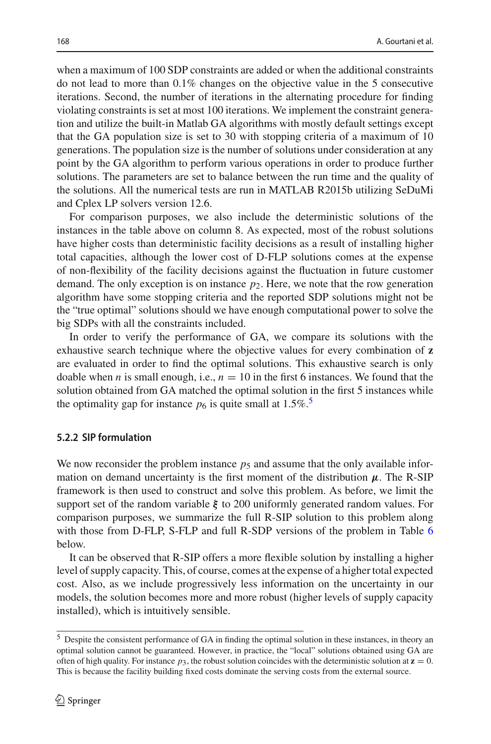when a maximum of 100 SDP constraints are added or when the additional constraints do not lead to more than 0.1% changes on the objective value in the 5 consecutive iterations. Second, the number of iterations in the alternating procedure for finding violating constraints is set at most 100 iterations. We implement the constraint generation and utilize the built-in Matlab GA algorithms with mostly default settings except that the GA population size is set to 30 with stopping criteria of a maximum of 10 generations. The population size is the number of solutions under consideration at any point by the GA algorithm to perform various operations in order to produce further solutions. The parameters are set to balance between the run time and the quality of the solutions. All the numerical tests are run in MATLAB R2015b utilizing SeDuMi and Cplex LP solvers version 12.6.

For comparison purposes, we also include the deterministic solutions of the instances in the table above on column 8. As expected, most of the robust solutions have higher costs than deterministic facility decisions as a result of installing higher total capacities, although the lower cost of D-FLP solutions comes at the expense of non-flexibility of the facility decisions against the fluctuation in future customer demand. The only exception is on instance  $p_2$ . Here, we note that the row generation algorithm have some stopping criteria and the reported SDP solutions might not be the "true optimal" solutions should we have enough computational power to solve the big SDPs with all the constraints included.

In order to verify the performance of GA, we compare its solutions with the exhaustive search technique where the objective values for every combination of **z** are evaluated in order to find the optimal solutions. This exhaustive search is only doable when *n* is small enough, i.e.,  $n = 10$  in the first 6 instances. We found that the solution obtained from GA matched the optimal solution in the first 5 instances while the optimality gap for instance  $p_6$  is quite small at  $1.5\%$  $1.5\%$  $1.5\%$ <sup>5</sup>

### **5.2.2 SIP formulation**

We now reconsider the problem instance  $p_5$  and assume that the only available information on demand uncertainty is the first moment of the distribution  $\mu$ . The R-SIP framework is then used to construct and solve this problem. As before, we limit the support set of the random variable *ξ* to 200 uniformly generated random values. For comparison purposes, we summarize the full R-SIP solution to this problem along with those from D-FLP, S-FLP and full R-SDP versions of the problem in Table [6](#page-28-0) below.

It can be observed that R-SIP offers a more flexible solution by installing a higher level of supply capacity. This, of course, comes at the expense of a higher total expected cost. Also, as we include progressively less information on the uncertainty in our models, the solution becomes more and more robust (higher levels of supply capacity installed), which is intuitively sensible.

<span id="page-27-0"></span><sup>5</sup> Despite the consistent performance of GA in finding the optimal solution in these instances, in theory an optimal solution cannot be guaranteed. However, in practice, the "local" solutions obtained using GA are often of high quality. For instance  $p_3$ , the robust solution coincides with the deterministic solution at  $z = 0$ . This is because the facility building fixed costs dominate the serving costs from the external source.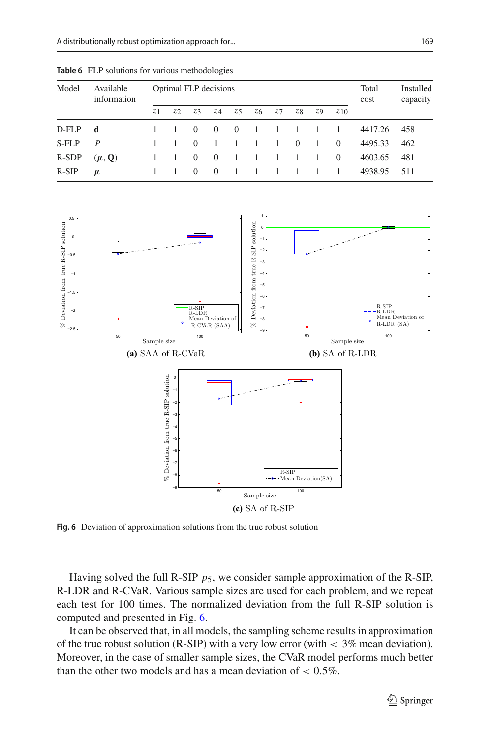| Model   | Available<br>information | Optimal FLP decisions |       |          |          |          |                |                | Total<br>cost | Installed<br>capacity |          |         |     |
|---------|--------------------------|-----------------------|-------|----------|----------|----------|----------------|----------------|---------------|-----------------------|----------|---------|-----|
|         |                          | $z_{1}$               | $z_2$ | Z3       | 7.4      | $z_{5}$  | $z_{6}$        | $z_{7}$        | 78            | Z9                    | $z_{10}$ |         |     |
| D-FLP   | $\mathbf{d}$             |                       |       | $\Omega$ | $\Omega$ | $\Omega$ | $\overline{1}$ | $\sim$ 1       | $\frac{1}{2}$ |                       |          | 4417.26 | 458 |
| S-FLP   | P                        |                       |       | $\Omega$ |          |          | $\overline{1}$ | $\overline{1}$ | $\Omega$      | $\overline{1}$        | $\Omega$ | 4495.33 | 462 |
| R-SDP   | $(\mu, Q)$               |                       |       | $\Omega$ | $\Omega$ |          |                |                | - 1           | $\mathbf{1}$          | $\Omega$ | 4603.65 | 481 |
| $R-SIP$ | $\mu$                    |                       |       | $\Omega$ | $\Omega$ |          |                |                | - 1           | -1                    |          | 4938.95 | 511 |

<span id="page-28-0"></span>**Table 6** FLP solutions for various methodologies



<span id="page-28-1"></span>**Fig. 6** Deviation of approximation solutions from the true robust solution

Having solved the full R-SIP  $p_5$ , we consider sample approximation of the R-SIP, R-LDR and R-CVaR. Various sample sizes are used for each problem, and we repeat each test for 100 times. The normalized deviation from the full R-SIP solution is computed and presented in Fig. [6.](#page-28-1)

It can be observed that, in all models, the sampling scheme results in approximation of the true robust solution (R-SIP) with a very low error (with  $<$  3% mean deviation). Moreover, in the case of smaller sample sizes, the CVaR model performs much better than the other two models and has a mean deviation of  $< 0.5\%$ .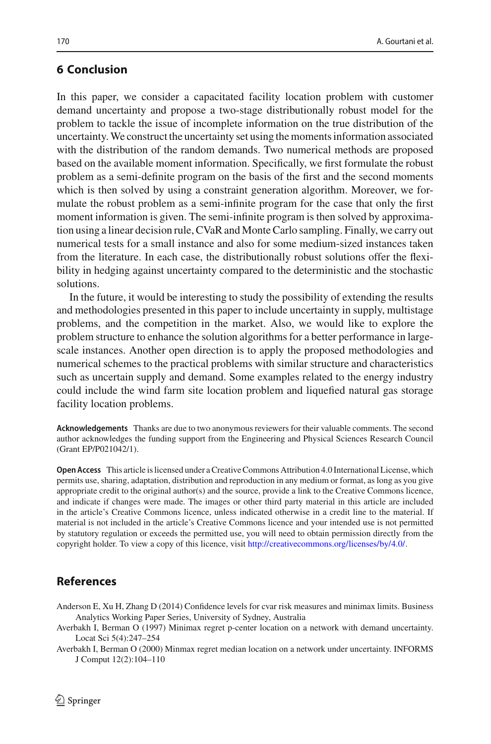# <span id="page-29-2"></span>**6 Conclusion**

In this paper, we consider a capacitated facility location problem with customer demand uncertainty and propose a two-stage distributionally robust model for the problem to tackle the issue of incomplete information on the true distribution of the uncertainty.We construct the uncertainty set using the moments information associated with the distribution of the random demands. Two numerical methods are proposed based on the available moment information. Specifically, we first formulate the robust problem as a semi-definite program on the basis of the first and the second moments which is then solved by using a constraint generation algorithm. Moreover, we formulate the robust problem as a semi-infinite program for the case that only the first moment information is given. The semi-infinite program is then solved by approximation using a linear decision rule, CVaR and Monte Carlo sampling. Finally, we carry out numerical tests for a small instance and also for some medium-sized instances taken from the literature. In each case, the distributionally robust solutions offer the flexibility in hedging against uncertainty compared to the deterministic and the stochastic solutions.

In the future, it would be interesting to study the possibility of extending the results and methodologies presented in this paper to include uncertainty in supply, multistage problems, and the competition in the market. Also, we would like to explore the problem structure to enhance the solution algorithms for a better performance in largescale instances. Another open direction is to apply the proposed methodologies and numerical schemes to the practical problems with similar structure and characteristics such as uncertain supply and demand. Some examples related to the energy industry could include the wind farm site location problem and liquefied natural gas storage facility location problems.

**Acknowledgements** Thanks are due to two anonymous reviewers for their valuable comments. The second author acknowledges the funding support from the Engineering and Physical Sciences Research Council (Grant EP/P021042/1).

**Open Access** This article is licensed under a Creative Commons Attribution 4.0 International License, which permits use, sharing, adaptation, distribution and reproduction in any medium or format, as long as you give appropriate credit to the original author(s) and the source, provide a link to the Creative Commons licence, and indicate if changes were made. The images or other third party material in this article are included in the article's Creative Commons licence, unless indicated otherwise in a credit line to the material. If material is not included in the article's Creative Commons licence and your intended use is not permitted by statutory regulation or exceeds the permitted use, you will need to obtain permission directly from the copyright holder. To view a copy of this licence, visit [http://creativecommons.org/licenses/by/4.0/.](http://creativecommons.org/licenses/by/4.0/)

# **References**

<span id="page-29-3"></span>Anderson E, Xu H, Zhang D (2014) Confidence levels for cvar risk measures and minimax limits. Business Analytics Working Paper Series, University of Sydney, Australia

<span id="page-29-0"></span>Averbakh I, Berman O (1997) Minimax regret p-center location on a network with demand uncertainty. Locat Sci 5(4):247–254

<span id="page-29-1"></span>Averbakh I, Berman O (2000) Minmax regret median location on a network under uncertainty. INFORMS J Comput 12(2):104–110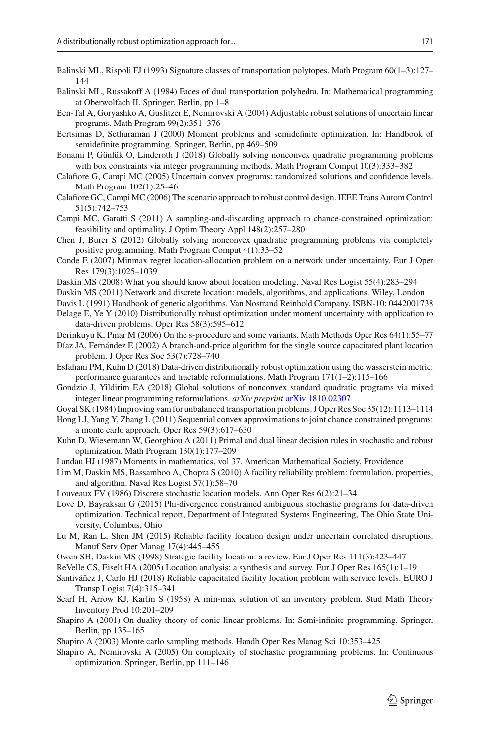- <span id="page-30-31"></span>Balinski ML, Rispoli FJ (1993) Signature classes of transportation polytopes. Math Program 60(1–3):127– 144
- <span id="page-30-17"></span>Balinski ML, Russakoff A (1984) Faces of dual transportation polyhedra. In: Mathematical programming at Oberwolfach II. Springer, Berlin, pp 1–8
- <span id="page-30-23"></span>Ben-Tal A, Goryashko A, Guslitzer E, Nemirovski A (2004) Adjustable robust solutions of uncertain linear programs. Math Program 99(2):351–376
- <span id="page-30-15"></span>Bertsimas D, Sethuraman J (2000) Moment problems and semidefinite optimization. In: Handbook of semidefinite programming. Springer, Berlin, pp 469–509
- <span id="page-30-21"></span>Bonami P, Günlük O, Linderoth J (2018) Globally solving nonconvex quadratic programming problems with box constraints via integer programming methods. Math Program Comput 10(3):333–382
- <span id="page-30-27"></span>Calafiore G, Campi MC (2005) Uncertain convex programs: randomized solutions and confidence levels. Math Program 102(1):25–46
- <span id="page-30-28"></span>Calafiore GC, Campi MC (2006) The scenario approach to robust control design. IEEE Trans Autom Control 51(5):742–753
- <span id="page-30-29"></span>Campi MC, Garatti S (2011) A sampling-and-discarding approach to chance-constrained optimization: feasibility and optimality. J Optim Theory Appl 148(2):257–280
- <span id="page-30-20"></span>Chen J, Burer S (2012) Globally solving nonconvex quadratic programming problems via completely positive programming. Math Program Comput 4(1):33–52
- <span id="page-30-5"></span>Conde E (2007) Minmax regret location-allocation problem on a network under uncertainty. Eur J Oper Res 179(3):1025–1039
- <span id="page-30-1"></span>Daskin MS (2008) What you should know about location modeling. Naval Res Logist 55(4):283–294
- <span id="page-30-0"></span>Daskin MS (2011) Network and discrete location: models, algorithms, and applications. Wiley, London
- <span id="page-30-19"></span>Davis L (1991) Handbook of genetic algorithms. Van Nostrand Reinhold Company. ISBN-10: 0442001738
- <span id="page-30-7"></span>Delage E, Ye Y (2010) Distributionally robust optimization under moment uncertainty with application to data-driven problems. Oper Res 58(3):595–612
- <span id="page-30-18"></span>Derinkuyu K, Pınar M (2006) On the s-procedure and some variants. Math Methods Oper Res 64(1):55–77
- <span id="page-30-32"></span>Díaz JA, Fernández E (2002) A branch-and-price algorithm for the single source capacitated plant location problem. J Oper Res Soc 53(7):728–740
- <span id="page-30-8"></span>Esfahani PM, Kuhn D (2018) Data-driven distributionally robust optimization using the wasserstein metric: performance guarantees and tractable reformulations. Math Program 171(1–2):115–166
- <span id="page-30-22"></span>Gondzio J, Yildirim EA (2018) Global solutions of nonconvex standard quadratic programs via mixed integer linear programming reformulations. *arXiv preprint* [arXiv:1810.02307](http://arxiv.org/abs/1810.02307)
- <span id="page-30-12"></span>Goyal SK (1984) Improving vam for unbalanced transportation problems. J Oper Res Soc 35(12):1113–1114
- <span id="page-30-26"></span>Hong LJ, Yang Y, Zhang L (2011) Sequential convex approximations to joint chance constrained programs: a monte carlo approach. Oper Res 59(3):617–630
- <span id="page-30-25"></span>Kuhn D, Wiesemann W, Georghiou A (2011) Primal and dual linear decision rules in stochastic and robust optimization. Math Program 130(1):177–209
- <span id="page-30-14"></span>Landau HJ (1987) Moments in mathematics, vol 37. American Mathematical Society, Providence
- <span id="page-30-4"></span>Lim M, Daskin MS, Bassamboo A, Chopra S (2010) A facility reliability problem: formulation, properties, and algorithm. Naval Res Logist 57(1):58–70
- <span id="page-30-13"></span>Louveaux FV (1986) Discrete stochastic location models. Ann Oper Res 6(2):21–34
- <span id="page-30-11"></span>Love D, Bayraksan G (2015) Phi-divergence constrained ambiguous stochastic programs for data-driven optimization. Technical report, Department of Integrated Systems Engineering, The Ohio State University, Columbus, Ohio
- <span id="page-30-9"></span>Lu M, Ran L, Shen JM (2015) Reliable facility location design under uncertain correlated disruptions. Manuf Serv Oper Manag 17(4):445–455
- <span id="page-30-3"></span>Owen SH, Daskin MS (1998) Strategic facility location: a review. Eur J Oper Res 111(3):423–447
- <span id="page-30-2"></span>ReVelle CS, Eiselt HA (2005) Location analysis: a synthesis and survey. Eur J Oper Res 165(1):1–19
- <span id="page-30-10"></span>Santiváñez J, Carlo HJ (2018) Reliable capacitated facility location problem with service levels. EURO J Transp Logist 7(4):315–341
- <span id="page-30-6"></span>Scarf H, Arrow KJ, Karlin S (1958) A min-max solution of an inventory problem. Stud Math Theory Inventory Prod 10:201–209
- <span id="page-30-16"></span>Shapiro A (2001) On duality theory of conic linear problems. In: Semi-infinite programming. Springer, Berlin, pp 135–165
- <span id="page-30-30"></span>Shapiro A (2003) Monte carlo sampling methods. Handb Oper Res Manag Sci 10:353–425
- <span id="page-30-24"></span>Shapiro A, Nemirovski A (2005) On complexity of stochastic programming problems. In: Continuous optimization. Springer, Berlin, pp 111–146